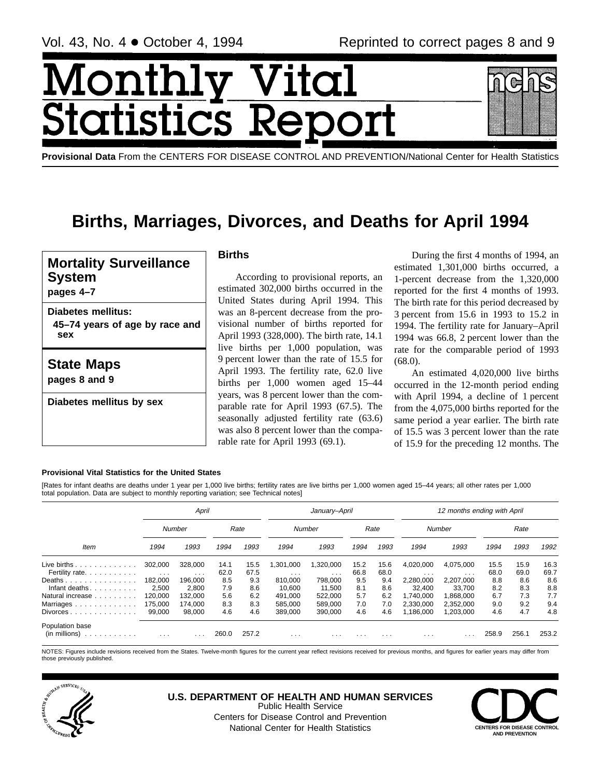Month ics R tatis **Provisional Data** From the CENTERS FOR DISEASE CONTROL AND PREVENTION/National Center for Health Statistics

# **Births, Marriages, Divorces, and Deaths for April 1994**

**Mortality Surveillance System**

**pages 4–7**

**Diabetes mellitus: 45–74 years of age by race and sex**

**State Maps**

**pages 8 and 9**

**Diabetes mellitus by sex**

# **Births**

According to provisional reports, an estimated 302,000 births occurred in the United States during April 1994. This was an 8-percent decrease from the provisional number of births reported for April 1993 (328,000). The birth rate, 14.1 live births per 1,000 population, was 9 percent lower than the rate of 15.5 for April 1993. The fertility rate, 62.0 live births per 1,000 women aged 15–44 years, was 8 percent lower than the comparable rate for April 1993 (67.5). The seasonally adjusted fertility rate (63.6) was also 8 percent lower than the comparable rate for April 1993 (69.1).

During the first 4 months of 1994, an estimated 1,301,000 births occurred, a 1-percent decrease from the 1,320,000 reported for the first 4 months of 1993. The birth rate for this period decreased by 3 percent from 15.6 in 1993 to 15.2 in 1994. The fertility rate for January–April 1994 was 66.8, 2 percent lower than the rate for the comparable period of 1993 (68.0).

An estimated 4,020,000 live births occurred in the 12-month period ending with April 1994, a decline of 1 percent from the 4,075,000 births reported for the same period a year earlier. The birth rate of 15.5 was 3 percent lower than the rate of 15.9 for the preceding 12 months. The

# **Provisional Vital Statistics for the United States**

[Rates for infant deaths are deaths under 1 year per 1,000 live births; fertility rates are live births per 1,000 women aged 15–44 years; all other rates per 1,000 total population. Data are subject to monthly reporting variation; see Technical notes]

|                                                              |                                 | April                           |              |              |                      | January-April                     |              |              |                                      | 12 months ending with April |              |              |              |
|--------------------------------------------------------------|---------------------------------|---------------------------------|--------------|--------------|----------------------|-----------------------------------|--------------|--------------|--------------------------------------|-----------------------------|--------------|--------------|--------------|
|                                                              |                                 | Number                          |              | Rate         |                      | Number                            |              | Rate         |                                      | Number                      |              | Rate         |              |
| Item                                                         | 1994                            | 1993                            | 1994         | 1993         | 1994                 | 1993                              | 1994         | 1993         | 1994                                 | 1993                        | 1994         | 1993         | 1992         |
| Live births $\ldots$<br>Fertility rate.                      | 302,000<br>$\sim$ $\sim$ $\sim$ | 328,000<br>$\sim$ $\sim$ $\sim$ | 14.1<br>62.0 | 15.5<br>67.5 | .301.000<br>$\cdots$ | 1,320,000<br>$\sim$ $\sim$ $\sim$ | 15.2<br>66.8 | 15.6<br>68.0 | 4,020,000<br>$\cdot$ $\cdot$ $\cdot$ | 4,075,000<br>$\cdots$       | 15.5<br>68.0 | 15.9<br>69.0 | 16.3<br>69.7 |
| Deaths<br>Infant deaths.                                     | 182.000<br>2,500                | 196.000<br>2,800                | 8.5<br>7.9   | 9.3<br>8.6   | 810.000<br>10,600    | 798.000<br>11,500                 | 9.5<br>8.1   | 9.4<br>8.6   | 2,280,000<br>32.400                  | 2.207.000<br>33,700         | 8.8<br>8.2   | 8.6<br>8.3   | 8.6<br>8.8   |
| Natural increase<br>Marriages                                | 120,000<br>175,000              | 132.000<br>174.000              | 5.6<br>8.3   | 6.2<br>8.3   | 491.000<br>585.000   | 522.000<br>589.000                | 5.7<br>7.0   | 6.2<br>7.0   | .740.000<br>2.330.000                | 1.868.000<br>2.352.000      | 6.7<br>9.0   | 7.3<br>9.2   | 7.7<br>9.4   |
| $Divorces \dots \dots \dots \dots \dots$                     | 99,000                          | 98.000                          | 4.6          | 4.6          | 389.000              | 390,000                           | 4.6          | 4.6          | ,186,000                             | 1,203,000                   | 4.6          | 4.7          | 4.8          |
| Population base<br>$(in \text{ millions}) \dots \dots \dots$ | $\cdots$                        | .                               | 260.0        | 257.2        | $\cdots$             | $\cdots$                          | $\cdots$     | $\cdots$     | $\cdots$                             | $\cdot$ $\cdot$             | 258.9        | 256.1        | 253.2        |

NOTES: Figures include revisions received from the States. Twelve-month figures for the current year reflect revisions received for previous months, and figures for earlier years may differ from those previously published.



**U.S. DEPARTMENT OF HEALTH AND HUMAN SERVICES** Public Health Service Centers for Disease Control and Prevention



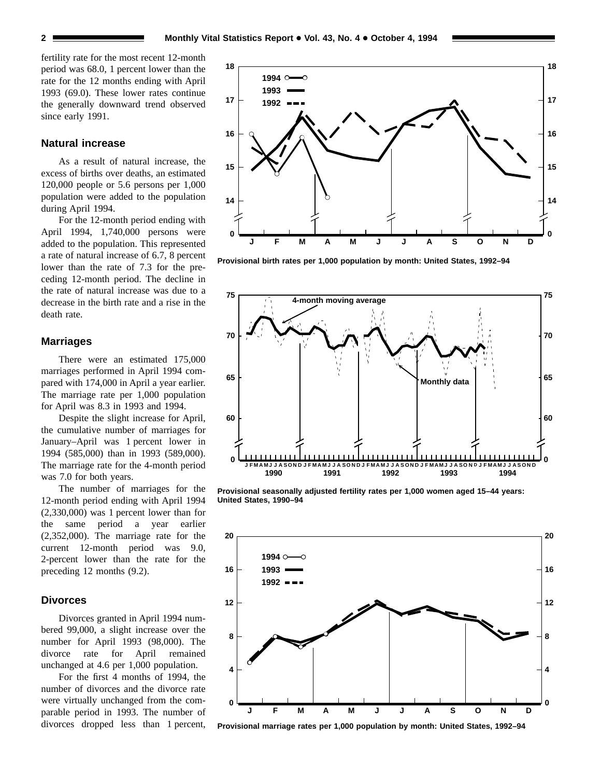fertility rate for the most recent 12-month period was 68.0, 1 percent lower than the rate for the 12 months ending with April 1993 (69.0). These lower rates continue the generally downward trend observed since early 1991.

# **Natural increase**

As a result of natural increase, the excess of births over deaths, an estimated 120,000 people or 5.6 persons per 1,000 population were added to the population during April 1994.

For the 12-month period ending with April 1994, 1,740,000 persons were added to the population. This represented a rate of natural increase of 6.7, 8 percent lower than the rate of 7.3 for the preceding 12-month period. The decline in the rate of natural increase was due to a decrease in the birth rate and a rise in the death rate.

## **Marriages**

There were an estimated 175,000 marriages performed in April 1994 compared with 174,000 in April a year earlier. The marriage rate per 1,000 population for April was 8.3 in 1993 and 1994.

Despite the slight increase for April, the cumulative number of marriages for January–April was 1 percent lower in 1994 (585,000) than in 1993 (589,000). The marriage rate for the 4-month period was 7.0 for both years.

The number of marriages for the 12-month period ending with April 1994 (2,330,000) was 1 percent lower than for the same period a year earlier (2,352,000). The marriage rate for the current 12-month period was 9.0, 2-percent lower than the rate for the preceding 12 months (9.2).

#### **Divorces**

Divorces granted in April 1994 numbered 99,000, a slight increase over the number for April 1993 (98,000). The divorce rate for April remained unchanged at 4.6 per 1,000 population.

For the first 4 months of 1994, the number of divorces and the divorce rate were virtually unchanged from the comparable period in 1993. The number of divorces dropped less than 1 percent,



**Provisional birth rates per 1,000 population by month: United States, 1992–94**



**Provisional seasonally adjusted fertility rates per 1,000 women aged 15–44 years: United States, 1990–94**



**Provisional marriage rates per 1,000 population by month: United States, 1992–94**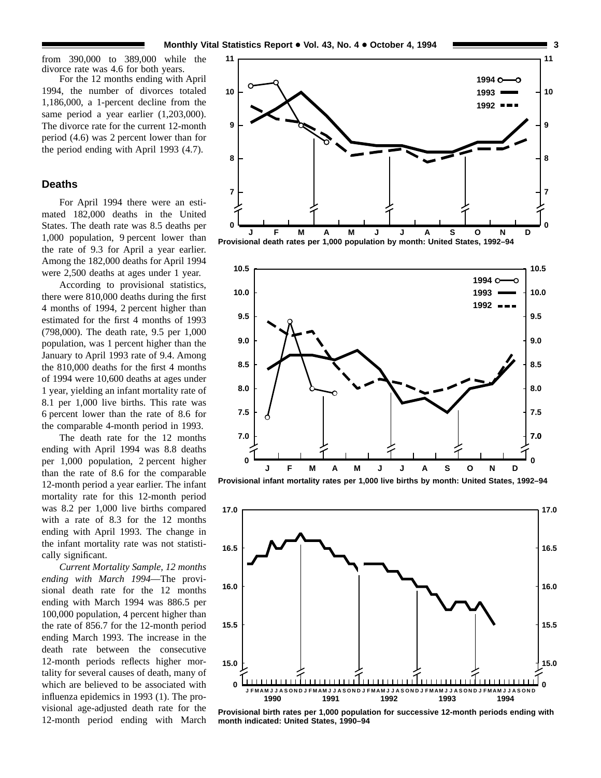from 390,000 to 389,000 while the divorce rate was 4.6 for both years.

For the 12 months ending with April 1994, the number of divorces totaled 1,186,000, a 1-percent decline from the same period a year earlier (1,203,000). The divorce rate for the current 12-month period (4.6) was 2 percent lower than for the period ending with April 1993 (4.7).

# **Deaths**

For April 1994 there were an estimated 182,000 deaths in the United States. The death rate was 8.5 deaths per 1,000 population, 9 percent lower than the rate of 9.3 for April a year earlier. Among the 182,000 deaths for April 1994 were 2,500 deaths at ages under 1 year.

According to provisional statistics, there were 810,000 deaths during the first 4 months of 1994, 2 percent higher than estimated for the first 4 months of 1993 (798,000). The death rate, 9.5 per 1,000 population, was 1 percent higher than the January to April 1993 rate of 9.4. Among the 810,000 deaths for the first 4 months of 1994 were 10,600 deaths at ages under 1 year, yielding an infant mortality rate of 8.1 per 1,000 live births. This rate was 6 percent lower than the rate of 8.6 for the comparable 4-month period in 1993.

The death rate for the 12 months ending with April 1994 was 8.8 deaths per 1,000 population, 2 percent higher than the rate of 8.6 for the comparable 12-month period a year earlier. The infant mortality rate for this 12-month period was 8.2 per 1,000 live births compared with a rate of 8.3 for the 12 months ending with April 1993. The change in the infant mortality rate was not statistically significant.

*Current Mortality Sample, 12 months ending with March 1994*—The provisional death rate for the 12 months ending with March 1994 was 886.5 per 100,000 population, 4 percent higher than the rate of 856.7 for the 12-month period ending March 1993. The increase in the death rate between the consecutive 12-month periods reflects higher mortality for several causes of death, many of which are believed to be associated with influenza epidemics in 1993 (1). The provisional age-adjusted death rate for the 12-month period ending with March









**Provisional birth rates per 1,000 population for successive 12-month periods ending with month indicated: United States, 1990–94**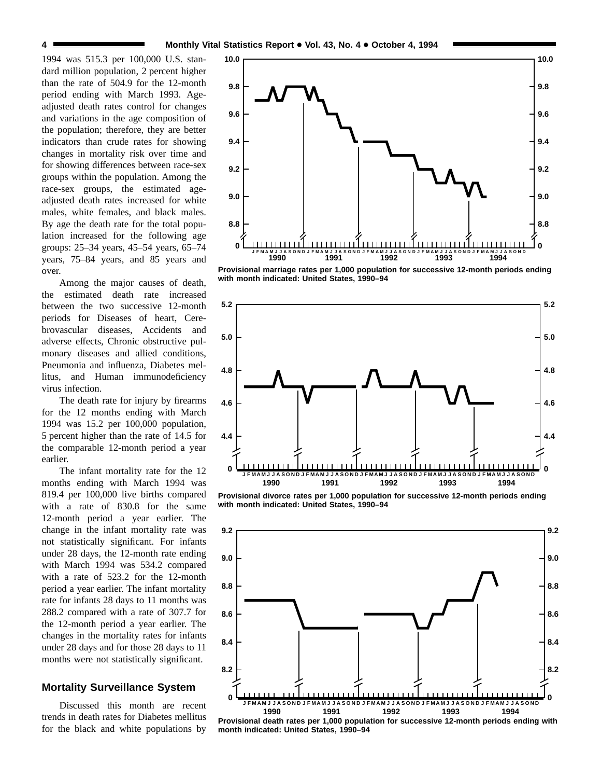1994 was 515.3 per 100,000 U.S. standard million population, 2 percent higher than the rate of 504.9 for the 12-month period ending with March 1993. Ageadjusted death rates control for changes and variations in the age composition of the population; therefore, they are better indicators than crude rates for showing changes in mortality risk over time and for showing differences between race-sex groups within the population. Among the race-sex groups, the estimated ageadjusted death rates increased for white males, white females, and black males. By age the death rate for the total population increased for the following age groups: 25–34 years, 45–54 years, 65–74 years, 75–84 years, and 85 years and over.

Among the major causes of death, the estimated death rate increased between the two successive 12-month periods for Diseases of heart, Cerebrovascular diseases, Accidents and adverse effects, Chronic obstructive pulmonary diseases and allied conditions, Pneumonia and influenza, Diabetes mellitus, and Human immunodeficiency virus infection.

The death rate for injury by firearms for the 12 months ending with March 1994 was 15.2 per 100,000 population, 5 percent higher than the rate of 14.5 for the comparable 12-month period a year earlier.

The infant mortality rate for the 12 months ending with March 1994 was 819.4 per 100,000 live births compared with a rate of 830.8 for the same 12-month period a year earlier. The change in the infant mortality rate was not statistically significant. For infants under 28 days, the 12-month rate ending with March 1994 was 534.2 compared with a rate of 523.2 for the 12-month period a year earlier. The infant mortality rate for infants 28 days to 11 months was 288.2 compared with a rate of 307.7 for the 12-month period a year earlier. The changes in the mortality rates for infants under 28 days and for those 28 days to 11 months were not statistically significant.

# **Mortality Surveillance System**

Discussed this month are recent trends in death rates for Diabetes mellitus for the black and white populations by



**Provisional marriage rates per 1,000 population for successive 12-month periods ending with month indicated: United States, 1990–94**



**Provisional divorce rates per 1,000 population for successive 12-month periods ending with month indicated: United States, 1990–94**



**Provisional death rates per 1,000 population for successive 12-month periods ending with month indicated: United States, 1990–94**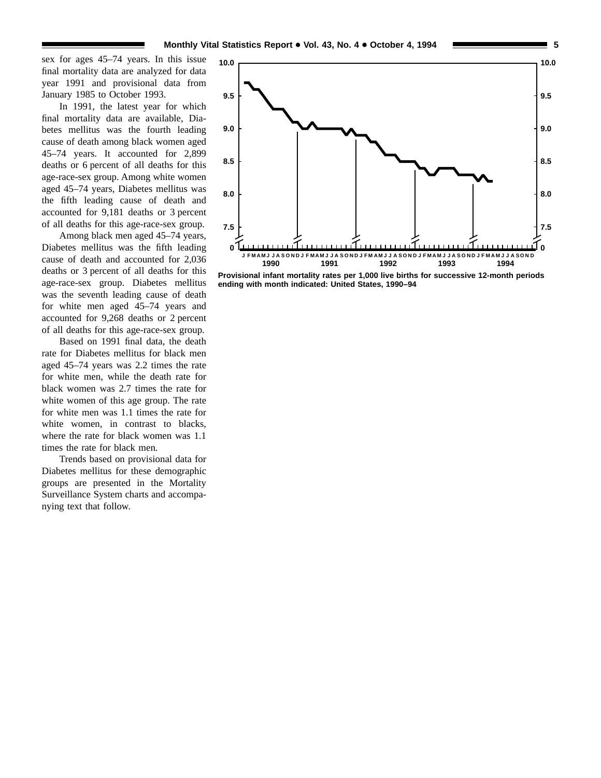sex for ages 45–74 years. In this issue final mortality data are analyzed for data year 1991 and provisional data from January 1985 to October 1993.

In 1991, the latest year for which final mortality data are available, Diabetes mellitus was the fourth leading cause of death among black women aged 45–74 years. It accounted for 2,899 deaths or 6 percent of all deaths for this age-race-sex group. Among white women aged 45–74 years, Diabetes mellitus was the fifth leading cause of death and accounted for 9,181 deaths or 3 percent of all deaths for this age-race-sex group.

Among black men aged 45–74 years, Diabetes mellitus was the fifth leading cause of death and accounted for 2,036 deaths or 3 percent of all deaths for this age-race-sex group. Diabetes mellitus was the seventh leading cause of death for white men aged 45–74 years and accounted for 9,268 deaths or 2 percent of all deaths for this age-race-sex group.

Based on 1991 final data, the death rate for Diabetes mellitus for black men aged 45–74 years was 2.2 times the rate for white men, while the death rate for black women was 2.7 times the rate for white women of this age group. The rate for white men was 1.1 times the rate for white women, in contrast to blacks, where the rate for black women was 1.1 times the rate for black men.

Trends based on provisional data for Diabetes mellitus for these demographic groups are presented in the Mortality Surveillance System charts and accompanying text that follow.



**Provisional infant mortality rates per 1,000 live births for successive 12-month periods ending with month indicated: United States, 1990–94**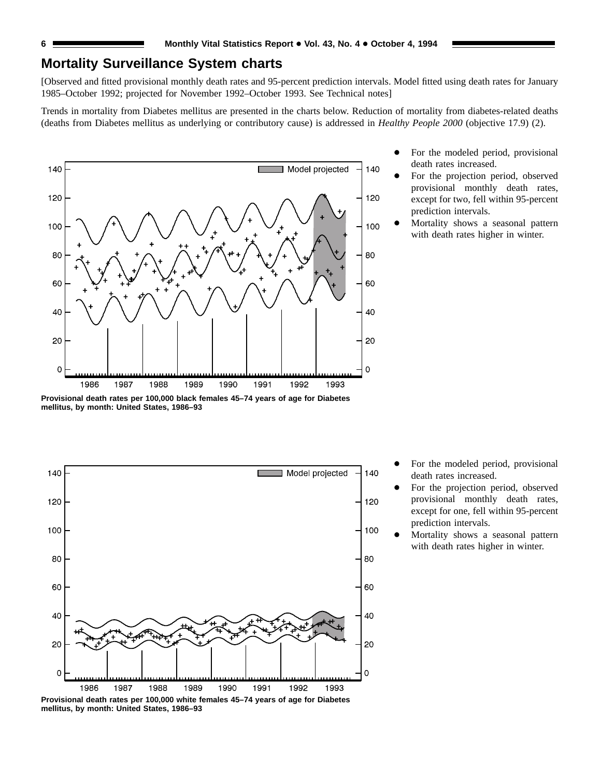# **Mortality Surveillance System charts**

[Observed and fitted provisional monthly death rates and 95-percent prediction intervals. Model fitted using death rates for January 1985–October 1992; projected for November 1992–October 1993. See Technical notes]

Trends in mortality from Diabetes mellitus are presented in the charts below. Reduction of mortality from diabetes-related deaths (deaths from Diabetes mellitus as underlying or contributory cause) is addressed in *Healthy People 2000* (objective 17.9) (2).

![](_page_5_Figure_4.jpeg)

- For the modeled period, provisional death rates increased.
- For the projection period, observed provisional monthly death rates, except for two, fell within 95-percent prediction intervals.
- Mortality shows a seasonal pattern with death rates higher in winter.

**Provisional death rates per 100,000 black females 45–74 years of age for Diabetes mellitus, by month: United States, 1986–93**

![](_page_5_Figure_9.jpeg)

**mellitus, by month: United States, 1986–93**

For the modeled period, provisional death rates increased.

- For the projection period, observed provisional monthly death rates, except for one, fell within 95-percent prediction intervals.
- Mortality shows a seasonal pattern with death rates higher in winter.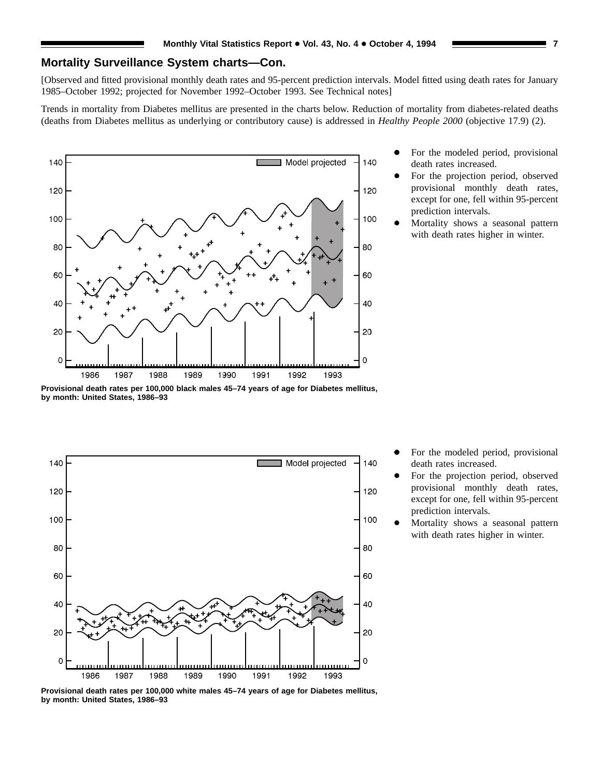# **Mortality Surveillance System charts—Con.**

[Observed and fitted provisional monthly death rates and 95-percent prediction intervals. Model fitted using death rates for January 1985–October 1992; projected for November 1992–October 1993. See Technical notes]

Trends in mortality from Diabetes mellitus are presented in the charts below. Reduction of mortality from diabetes-related deaths (deaths from Diabetes mellitus as underlying or contributory cause) is addressed in *Healthy People 2000* (objective 17.9) (2).

![](_page_6_Figure_4.jpeg)

- For the modeled period, provisional death rates increased.
- For the projection period, observed provisional monthly death rates, except for one, fell within 95-percent prediction intervals.
- Mortality shows a seasonal pattern with death rates higher in winter.

**Provisional death rates per 100,000 black males 45–74 years of age for Diabetes mellitus, by month: United States, 1986–93**

![](_page_6_Figure_9.jpeg)

For the modeled period, provisional death rates increased.

- For the projection period, observed provisional monthly death rates, except for one, fell within 95-percent prediction intervals.
- Mortality shows a seasonal pattern with death rates higher in winter.

**Provisional death rates per 100,000 white males 45–74 years of age for Diabetes mellitus, by month: United States, 1986–93**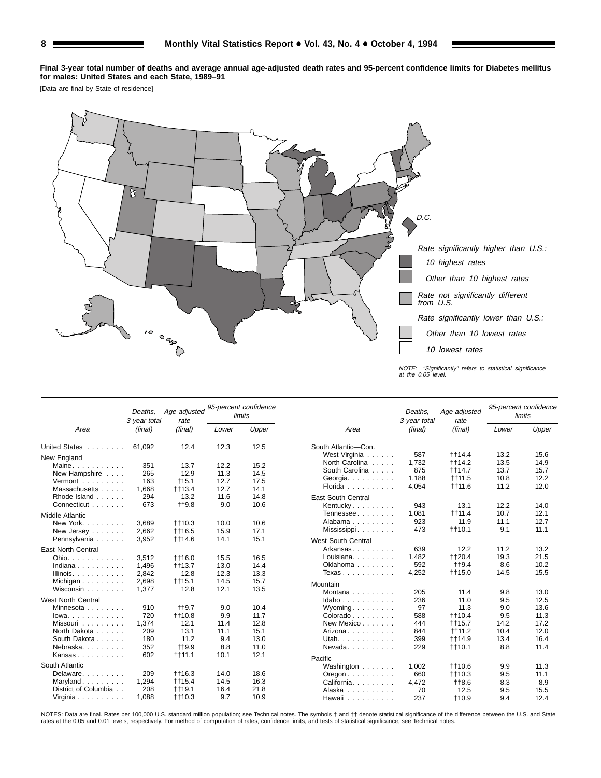**Final 3-year total number of deaths and average annual age-adjusted death rates and 95-percent confidence limits for Diabetes mellitus for males: United States and each State, 1989–91**

[Data are final by State of residence]

![](_page_7_Figure_3.jpeg)

|                           | Deaths.<br>3-year total | Age-adjusted<br>rate |       | 95-percent confidence<br>limits |                                                       | Deaths.<br>3-year total | Age-adjusted<br>rate |       | 95-percent confidence<br>limits |
|---------------------------|-------------------------|----------------------|-------|---------------------------------|-------------------------------------------------------|-------------------------|----------------------|-------|---------------------------------|
| Area                      | (final)                 | (final)              | Lower | Upper                           | Area                                                  | (final)                 | (final)              | Lower | Upper                           |
| United States             | 61.092                  | 12.4                 | 12.3  | 12.5                            | South Atlantic-Con.                                   |                         |                      |       |                                 |
| New England               |                         |                      |       |                                 | West Virginia                                         | 587                     | <b>tt14.4</b>        | 13.2  | 15.6                            |
| Maine                     | 351                     | 13.7                 | 12.2  | 15.2                            | North Carolina                                        | 1.732                   | <b>tt14.2</b>        | 13.5  | 14.9                            |
| New Hampshire             | 265                     | 12.9                 | 11.3  | 14.5                            | South Carolina                                        | 875                     | <b>tt14.7</b>        | 13.7  | 15.7                            |
| Vermont                   | 163                     | $+15.1$              | 12.7  | 17.5                            | Georgia.                                              | 1.188                   | <b>tt11.5</b>        | 10.8  | 12.2                            |
| Massachusetts             | 1,668                   | ++13.4               | 12.7  | 14.1                            | Florida                                               | 4,054                   | <b>t</b> t11.6       | 11.2  | 12.0                            |
| Rhode Island              | 294                     | 13.2                 | 11.6  | 14.8                            | <b>East South Central</b>                             |                         |                      |       |                                 |
| Connecticut               | 673                     | $+19.8$              | 9.0   | 10.6                            | Kentucky.                                             | 943                     | 13.1                 | 12.2  | 14.0                            |
| Middle Atlantic           |                         |                      |       |                                 | Tennessee                                             | 1,081                   | <b>t</b> +11.4       | 10.7  | 12.1                            |
| New York                  | 3,689                   | $+10.3$              | 10.0  | 10.6                            | Alabama                                               | 923                     | 11.9                 | 11.1  | 12.7                            |
| New Jersey                | 2,662                   | <b>tt16.5</b>        | 15.9  | 17.1                            | Mississippi                                           | 473                     | $+110.1$             | 9.1   | 11.1                            |
| Pennsylvania              | 3,952                   | <b>tt14.6</b>        | 14.1  | 15.1                            |                                                       |                         |                      |       |                                 |
|                           |                         |                      |       |                                 | <b>West South Central</b>                             |                         |                      |       |                                 |
| <b>East North Central</b> |                         |                      |       |                                 | Arkansas                                              | 639                     | 12.2                 | 11.2  | 13.2                            |
| Ohio.                     | 3,512                   | <b>++16.0</b>        | 15.5  | 16.5                            | Louisiana.                                            | 1.482                   | ++20.4               | 19.3  | 21.5                            |
| Indiana                   | 1,496                   | $+113.7$             | 13.0  | 14.4                            | Oklahoma                                              | 592                     | <b>tt9.4</b>         | 8.6   | 10.2                            |
| Illinois.                 | 2,842                   | 12.8                 | 12.3  | 13.3                            | Texas                                                 | 4,252                   | <b>tt15.0</b>        | 14.5  | 15.5                            |
| Michigan                  | 2,698                   | $+115.1$             | 14.5  | 15.7                            | Mountain                                              |                         |                      |       |                                 |
| Wisconsin                 | 1.377                   | 12.8                 | 12.1  | 13.5                            | Montana                                               | 205                     | 11.4                 | 9.8   | 13.0                            |
| <b>West North Central</b> |                         |                      |       |                                 | $Idaho \ldots \ldots \ldots$                          | 236                     | 11.0                 | 9.5   | 12.5                            |
| Minnesota                 | 910                     | <b>tt9.7</b>         | 9.0   | 10.4                            | $W$ yoming                                            | 97                      | 11.3                 | 9.0   | 13.6                            |
| lowa.                     | 720                     | <b>t</b> +10.8       | 9.9   | 11.7                            | $Colorado \ldots \ldots$                              | 588                     | <b>t</b> +10.4       | 9.5   | 11.3                            |
| Missouri                  | 1.374                   | 12.1                 | 11.4  | 12.8                            | New Mexico                                            | 444                     | $+115.7$             | 14.2  | 17.2                            |
| North Dakota              | 209                     | 13.1                 | 11.1  | 15.1                            | Arizona                                               | 844                     | $+11.2$              | 10.4  | 12.0                            |
| South Dakota              | 180                     | 11.2                 | 9.4   | 13.0                            | Utah.                                                 | 399                     | <b>tt14.9</b>        | 13.4  | 16.4                            |
| Nebraska.                 | 352                     | <b>tt9.9</b>         | 8.8   | 11.0                            | Nevada                                                | 229                     | $+110.1$             | 8.8   | 11.4                            |
| Kansas                    | 602                     | $+111.1$             | 10.1  | 12.1                            | Pacific                                               |                         |                      |       |                                 |
| South Atlantic            |                         |                      |       |                                 |                                                       | 1,002                   | <b>t</b> t10.6       | 9.9   | 11.3                            |
| Delaware                  | 209                     | $+16.3$              | 14.0  | 18.6                            | Washington                                            | 660                     | $+10.3$              | 9.5   | 11.1                            |
| Maryland                  | 1,294                   | <b>tt15.4</b>        | 14.5  | 16.3                            | $O$ regon $\ldots$ $\ldots$ $\ldots$ .<br>California. | 4,472                   | $+18.6$              | 8.3   | 8.9                             |
| District of Columbia      | 208                     | $+119.1$             | 16.4  | 21.8                            | Alaska                                                | 70                      | 12.5                 | 9.5   | 15.5                            |
| Virginia                  | 1.088                   | $+10.3$              | 9.7   | 10.9                            | Hawaii                                                | 237                     | $+10.9$              | 9.4   | 12.4                            |

NOTES: Data are final. Rates per 100,000 U.S. standard million population; see Technical notes. The symbols † and †† denote statistical significance of the difference between the U.S. and State<br>rates at the 0.05 and 0.01 l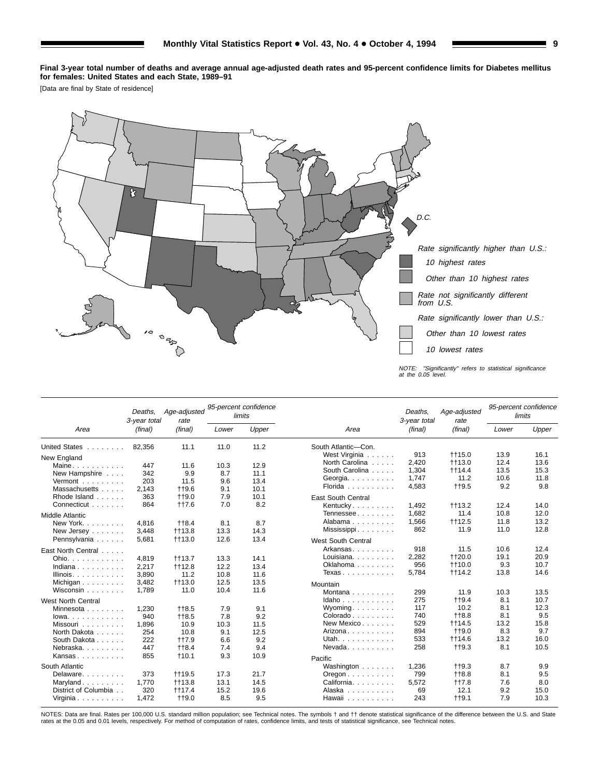**Final 3-year total number of deaths and average annual age-adjusted death rates and 95-percent confidence limits for Diabetes mellitus for females: United States and each State, 1989–91**

[Data are final by State of residence]

![](_page_8_Figure_3.jpeg)

|                                      | Deaths.<br>3-year total | Age-adjusted<br>rate      |       | 95-percent confidence<br>limits |                                          | Deaths.<br>3-year total | Age-adjusted<br>rate |       | 95-percent confidence<br>limits |
|--------------------------------------|-------------------------|---------------------------|-------|---------------------------------|------------------------------------------|-------------------------|----------------------|-------|---------------------------------|
| Area                                 | (final)                 | (final)                   | Lower | Upper                           | Area                                     | (final)                 | (final)              | Lower | Upper                           |
| United States                        | 82,356                  | 11.1                      | 11.0  | 11.2                            | South Atlantic-Con.                      |                         |                      |       |                                 |
| New England                          |                         |                           |       |                                 | West Virginia                            | 913                     | <b>++15.0</b>        | 13.9  | 16.1                            |
| Maine                                | 447                     | 11.6                      | 10.3  | 12.9                            | North Carolina                           | 2.420                   | ++13.0               | 12.4  | 13.6                            |
| New Hampshire                        | 342                     | 9.9                       | 8.7   | 11.1                            | South Carolina                           | 1,304                   | <b>tt14.4</b>        | 13.5  | 15.3                            |
| Vermont                              | 203                     | 11.5                      | 9.6   | 13.4                            | Georgia.                                 | 1.747                   | 11.2                 | 10.6  | 11.8                            |
| Massachusetts                        | 2,143                   | $+19.6$                   | 9.1   | 10.1                            | Florida                                  | 4,583                   | $+19.5$              | 9.2   | 9.8                             |
| Rhode Island                         | 363                     | $+19.0$                   | 7.9   | 10.1                            | <b>East South Central</b>                |                         |                      |       |                                 |
| Connecticut                          | 864                     | <b>tt7.6</b>              | 7.0   | 8.2                             | Kentucky.                                | 1,492                   | <b>tt13.2</b>        | 12.4  | 14.0                            |
| <b>Middle Atlantic</b>               |                         |                           |       |                                 | Tennessee                                | 1.682                   | 11.4                 | 10.8  | 12.0                            |
| New York.                            | 4.816                   |                           | 8.1   | 8.7                             | Alabama                                  | 1,566                   | $+112.5$             | 11.8  | 13.2                            |
| New Jersey                           | 3,448                   | $+18.4$<br><b>t</b> t13.8 | 13.3  | 14.3                            | Mississippi                              | 862                     | 11.9                 | 11.0  | 12.8                            |
|                                      | 5,681                   |                           | 12.6  | 13.4                            |                                          |                         |                      |       |                                 |
| Pennsylvania                         |                         | <b>t</b> t13.0            |       |                                 | <b>West South Central</b>                |                         |                      |       |                                 |
| East North Central                   |                         |                           |       |                                 | Arkansas                                 | 918                     | 11.5                 | 10.6  | 12.4                            |
| Ohio. $\ldots$ , $\ldots$ , $\ldots$ | 4.819                   | $+13.7$                   | 13.3  | 14.1                            | Louisiana                                | 2,282                   | ++20.0               | 19.1  | 20.9                            |
| Indiana                              | 2,217                   | <b>tt12.8</b>             | 12.2  | 13.4                            | Oklahoma                                 | 956                     | ++10.0               | 9.3   | 10.7                            |
| Illinois. $\ldots$ .                 | 3,890                   | 11.2                      | 10.8  | 11.6                            | Texas                                    | 5,784                   | ++14.2               | 13.8  | 14.6                            |
| Michigan                             | 3,482                   | $+13.0$                   | 12.5  | 13.5                            | Mountain                                 |                         |                      |       |                                 |
| Wisconsin                            | 1.789                   | 11.0                      | 10.4  | 11.6                            | Montana                                  | 299                     | 11.9                 | 10.3  | 13.5                            |
| <b>West North Central</b>            |                         |                           |       |                                 | Idaho                                    | 275                     | $+19.4$              | 8.1   | 10.7                            |
| Minnesota                            | 1,230                   | $+18.5$                   | 7.9   | 9.1                             | Wyoming. $\ldots$                        | 117                     | 10.2                 | 8.1   | 12.3                            |
| $lowa.$                              | 940                     | $+18.5$                   | 7.8   | 9.2                             | $Colorado \ldots \ldots$                 | 740                     | $+18.8$              | 8.1   | 9.5                             |
| Missouri                             | 1.896                   | 10.9                      | 10.3  | 11.5                            | New Mexico                               | 529                     | <b>tt14.5</b>        | 13.2  | 15.8                            |
| North Dakota                         | 254                     | 10.8                      | 9.1   | 12.5                            | Arizona                                  | 894                     | <b>tt9.0</b>         | 8.3   | 9.7                             |
| South Dakota                         | 222                     | $++7.9$                   | 6.6   | 9.2                             | Utah.                                    | 533                     | <b>tt14.6</b>        | 13.2  | 16.0                            |
| Nebraska.                            | 447                     | $+18.4$                   | 7.4   | 9.4                             | $N$ evada                                | 258                     | $+19.3$              | 8.1   | 10.5                            |
| Kansas                               | 855                     | $+10.1$                   | 9.3   | 10.9                            |                                          |                         |                      |       |                                 |
|                                      |                         |                           |       |                                 | Pacific                                  |                         |                      |       |                                 |
| South Atlantic                       |                         |                           |       |                                 | Washington                               | 1,236                   | $+19.3$              | 8.7   | 9.9                             |
| Delaware                             | 373                     | <b>t</b> t19.5            | 17.3  | 21.7                            | $O$ regon $\ldots$ , $\ldots$ , $\ldots$ | 799                     | $+18.8$              | 8.1   | 9.5                             |
| Maryland                             | 1,770                   | $+13.8$                   | 13.1  | 14.5                            | California                               | 5.572                   | $++7.8$              | 7.6   | 8.0                             |
| District of Columbia                 | 320                     | <b>tt17.4</b>             | 15.2  | 19.6                            | Alaska                                   | 69                      | 12.1                 | 9.2   | 15.0                            |
| Virginia                             | 1.472                   | <b>tt9.0</b>              | 8.5   | 9.5                             | Hawaii                                   | 243                     | $++9.1$              | 7.9   | 10.3                            |

NOTES: Data are final. Rates per 100,000 U.S. standard million population; see Technical notes. The symbols † and †† denote statistical significance of the difference between the U.S. and State<br>rates at the 0.05 and 0.01 l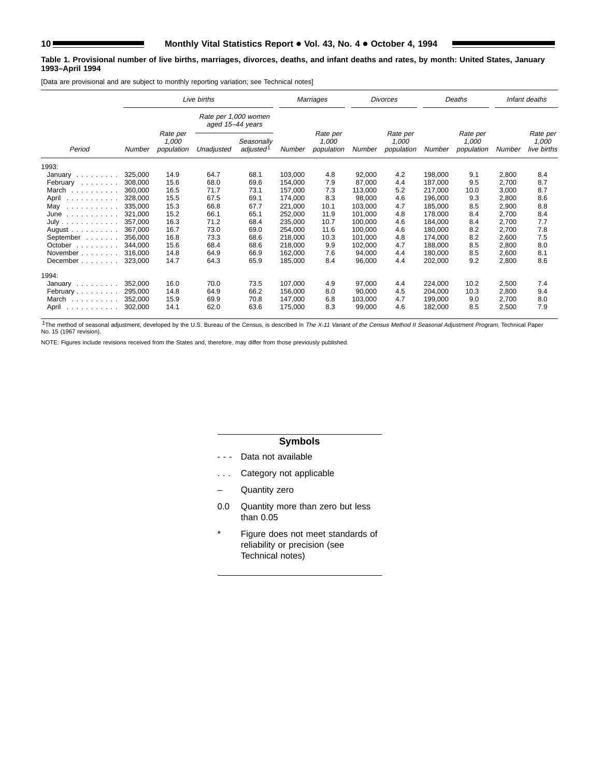#### **Table 1. Provisional number of live births, marriages, divorces, deaths, and infant deaths and rates, by month: United States, January 1993–April 1994**

[Data are provisional and are subject to monthly reporting variation; see Technical notes]

|                                |         |                                 | Live births                              |                                     |         | Marriages                       |         | <b>Divorces</b>                 |         | Deaths                          |        | Infant deaths                    |
|--------------------------------|---------|---------------------------------|------------------------------------------|-------------------------------------|---------|---------------------------------|---------|---------------------------------|---------|---------------------------------|--------|----------------------------------|
|                                |         |                                 | Rate per 1,000 women<br>aged 15-44 years |                                     |         |                                 |         |                                 |         |                                 |        |                                  |
| Period                         | Number  | Rate per<br>1,000<br>population | Unadjusted                               | Seasonally<br>adjusted <sup>1</sup> | Number  | Rate per<br>1.000<br>population | Number  | Rate per<br>1.000<br>population | Number  | Rate per<br>1.000<br>population | Number | Rate per<br>1,000<br>live births |
| 1993:                          |         |                                 |                                          |                                     |         |                                 |         |                                 |         |                                 |        |                                  |
| January                        | 325,000 | 14.9                            | 64.7                                     | 68.1                                | 103,000 | 4.8                             | 92,000  | 4.2                             | 198,000 | 9.1                             | 2,800  | 8.4                              |
| February                       | 308,000 | 15.6                            | 68.0                                     | 69.6                                | 154.000 | 7.9                             | 87,000  | 4.4                             | 187,000 | 9.5                             | 2.700  | 8.7                              |
| March                          | 360,000 | 16.5                            | 71.7                                     | 73.1                                | 157.000 | 7.3                             | 113.000 | 5.2                             | 217.000 | 10.0                            | 3,000  | 8.7                              |
| April<br>.                     | 328,000 | 15.5                            | 67.5                                     | 69.1                                | 174,000 | 8.3                             | 98,000  | 4.6                             | 196,000 | 9.3                             | 2,800  | 8.6                              |
| May<br>.                       | 335,000 | 15.3                            | 66.8                                     | 67.7                                | 221,000 | 10.1                            | 103,000 | 4.7                             | 185,000 | 8.5                             | 2,900  | 8.8                              |
| $June \dots \dots \dots \dots$ | 321.000 | 15.2                            | 66.1                                     | 65.1                                | 252,000 | 11.9                            | 101,000 | 4.8                             | 178,000 | 8.4                             | 2,700  | 8.4                              |
| July                           | 357,000 | 16.3                            | 71.2                                     | 68.4                                | 235,000 | 10.7                            | 100,000 | 4.6                             | 184,000 | 8.4                             | 2,700  | 7.7                              |
| August $\ldots$ , $\ldots$     | 367.000 | 16.7                            | 73.0                                     | 69.0                                | 254.000 | 11.6                            | 100,000 | 4.6                             | 180,000 | 8.2                             | 2,700  | 7.8                              |
| September                      | 356,000 | 16.8                            | 73.3                                     | 68.6                                | 218,000 | 10.3                            | 101.000 | 4.8                             | 174,000 | 8.2                             | 2,600  | 7.5                              |
| October<br>.                   | 344.000 | 15.6                            | 68.4                                     | 68.6                                | 218.000 | 9.9                             | 102,000 | 4.7                             | 188.000 | 8.5                             | 2,800  | 8.0                              |
| November $\ldots$ , $\ldots$   | 316,000 | 14.8                            | 64.9                                     | 66.9                                | 162.000 | 7.6                             | 94,000  | 4.4                             | 180.000 | 8.5                             | 2,600  | 8.1                              |
| December                       | 323.000 | 14.7                            | 64.3                                     | 65.9                                | 185.000 | 8.4                             | 96,000  | 4.4                             | 202,000 | 9.2                             | 2,800  | 8.6                              |
| 1994:                          |         |                                 |                                          |                                     |         |                                 |         |                                 |         |                                 |        |                                  |
| January $\ldots \ldots \ldots$ | 352.000 | 16.0                            | 70.0                                     | 73.5                                | 107,000 | 4.9                             | 97,000  | 4.4                             | 224,000 | 10.2                            | 2,500  | 7.4                              |
| February                       | 295,000 | 14.8                            | 64.9                                     | 66.2                                | 156.000 | 8.0                             | 90,000  | 4.5                             | 204,000 | 10.3                            | 2,800  | 9.4                              |
| March                          | 352,000 | 15.9                            | 69.9                                     | 70.8                                | 147,000 | 6.8                             | 103,000 | 4.7                             | 199,000 | 9.0                             | 2,700  | 8.0                              |
| April<br>.                     | 302,000 | 14.1                            | 62.0                                     | 63.6                                | 175,000 | 8.3                             | 99,000  | 4.6                             | 182,000 | 8.5                             | 2,500  | 7.9                              |

<sup>1</sup>The method of seasonal adjustment, developed by the U.S. Bureau of the Census, is described in The X-11 Variant of the Census Method II Seasonal Adjustment Program, Technical Paper No. 15 (1967 revision).

NOTE: Figures include revisions received from the States and, therefore, may differ from those previously published.

# **Symbols**

- - Data not available
- . . . Category not applicable
- Quantity zero
- 0.0 Quantity more than zero but less than 0.05
- \* Figure does not meet standards of reliability or precision (see Technical notes)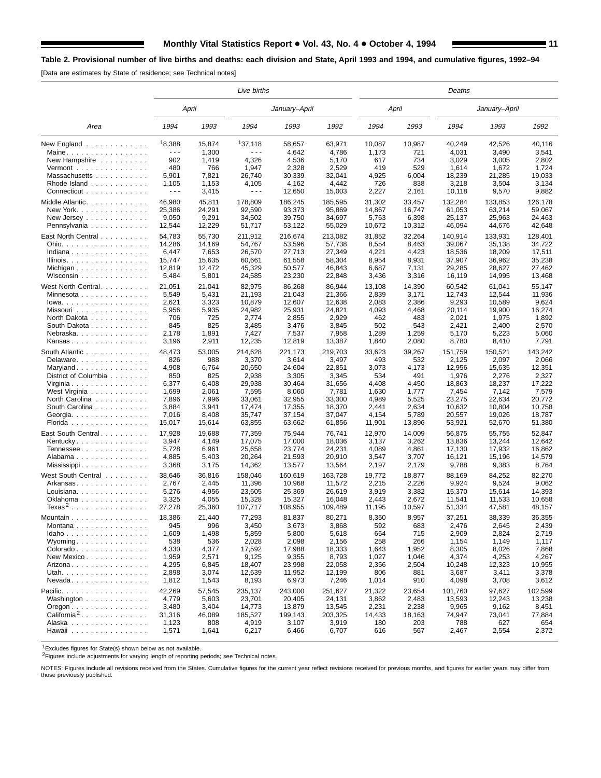[Data are estimates by State of residence; see Technical notes]

|                                          |                                                                                                                                                                                                                                                                                                                                                                                              |        | Live births          |                |                |        |        | Deaths  |               |         |
|------------------------------------------|----------------------------------------------------------------------------------------------------------------------------------------------------------------------------------------------------------------------------------------------------------------------------------------------------------------------------------------------------------------------------------------------|--------|----------------------|----------------|----------------|--------|--------|---------|---------------|---------|
|                                          |                                                                                                                                                                                                                                                                                                                                                                                              | April  |                      | January-April  |                |        | April  |         | January-April |         |
| Area                                     | 1994                                                                                                                                                                                                                                                                                                                                                                                         | 1993   | 1994                 | 1993           | 1992           | 1994   | 1993   | 1994    | 1993          | 1992    |
| New England                              | 18,388                                                                                                                                                                                                                                                                                                                                                                                       | 15,874 | 137,118              | 58,657         | 63,971         | 10,087 | 10,987 | 40,249  | 42,526        | 40,116  |
| Maine                                    | $\frac{1}{2} \frac{1}{2} \frac{1}{2} \frac{1}{2} \frac{1}{2} \frac{1}{2} \frac{1}{2} \frac{1}{2} \frac{1}{2} \frac{1}{2} \frac{1}{2} \frac{1}{2} \frac{1}{2} \frac{1}{2} \frac{1}{2} \frac{1}{2} \frac{1}{2} \frac{1}{2} \frac{1}{2} \frac{1}{2} \frac{1}{2} \frac{1}{2} \frac{1}{2} \frac{1}{2} \frac{1}{2} \frac{1}{2} \frac{1}{2} \frac{1}{2} \frac{1}{2} \frac{1}{2} \frac{1}{2} \frac{$ | 1,300  | $- - -$              | 4,642          | 4,786          | 1,173  | 721    | 4,031   | 3,490         | 3,541   |
| New Hampshire                            | 902                                                                                                                                                                                                                                                                                                                                                                                          | 1,419  | 4,326                | 4,536          | 5,170          | 617    | 734    | 3,029   | 3,005         | 2,802   |
| $Vermont$                                | 480                                                                                                                                                                                                                                                                                                                                                                                          | 766    | 1,947                | 2,328          | 2,529          | 419    | 529    | 1,614   | 1,672         | 1,724   |
| Massachusetts                            | 5,901                                                                                                                                                                                                                                                                                                                                                                                        | 7.821  | 26,740               | 30,339         | 32,041         | 4,925  | 6,004  | 18,239  | 21,285        | 19,033  |
| Rhode Island                             | 1,105                                                                                                                                                                                                                                                                                                                                                                                        | 1,153  | 4,105                | 4,162          | 4,442          | 726    | 838    | 3,218   | 3,504         | 3,134   |
| Connecticut                              | $\sim$ $\sim$ $\sim$                                                                                                                                                                                                                                                                                                                                                                         | 3,415  | $\sim$ $\sim$ $\sim$ | 12,650         | 15,003         | 2,227  | 2,161  | 10,118  | 9,570         | 9,882   |
| Middle Atlantic.                         | 46,980                                                                                                                                                                                                                                                                                                                                                                                       | 45,811 | 178,809              | 186.245        | 185.595        | 31,302 | 33,457 | 132,284 | 133,853       | 126,178 |
| New York                                 | 25,386                                                                                                                                                                                                                                                                                                                                                                                       | 24,291 | 92,590               | 93,373         | 95,869         | 14,867 | 16,747 | 61,053  | 63,214        | 59,067  |
| New Jersey $\dots$ , $\dots$ , $\dots$ , | 9,050                                                                                                                                                                                                                                                                                                                                                                                        | 9,291  | 34,502               | 39.750         | 34,697         | 5,763  | 6,398  | 25,137  | 25,963        | 24.463  |
| Pennsylvania                             | 12,544                                                                                                                                                                                                                                                                                                                                                                                       | 12,229 | 51,717               | 53,122         | 55,029         | 10,672 | 10,312 | 46,094  | 44,676        | 42,648  |
|                                          |                                                                                                                                                                                                                                                                                                                                                                                              |        |                      |                |                |        |        |         |               |         |
| East North Central                       | 54,783                                                                                                                                                                                                                                                                                                                                                                                       | 55,730 | 211,912              | 216,674        | 213,082        | 31,852 | 32,264 | 140,914 | 133,931       | 128,401 |
| Ohio.                                    | 14,286                                                                                                                                                                                                                                                                                                                                                                                       | 14,169 | 54,767               | 53,596         | 57,738         | 8,554  | 8,463  | 39,067  | 35,138        | 34,722  |
| Indiana                                  | 6,447                                                                                                                                                                                                                                                                                                                                                                                        | 7,653  | 26,570               | 27,713         | 27,349         | 4,221  | 4,423  | 18,536  | 18,209        | 17,511  |
| Illinois.                                | 15,747                                                                                                                                                                                                                                                                                                                                                                                       | 15,635 | 60,661               | 61,558         | 58,304         | 8,954  | 8,931  | 37,907  | 36,962        | 35,238  |
| Michigan                                 | 12,819                                                                                                                                                                                                                                                                                                                                                                                       | 12,472 | 45,329               | 50,577         | 46,843         | 6,687  | 7,131  | 29,285  | 28,627        | 27,462  |
| Wisconsin $\ldots$ , $\ldots$ , $\ldots$ | 5,484                                                                                                                                                                                                                                                                                                                                                                                        | 5,801  | 24,585               | 23,230         | 22,848         | 3,436  | 3,316  | 16,119  | 14,995        | 13,468  |
| West North Central.                      | 21,051                                                                                                                                                                                                                                                                                                                                                                                       | 21,041 | 82,975               | 86,268         | 86,944         | 13,108 | 14,390 | 60,542  | 61,041        | 55,147  |
| Minnesota                                | 5,549                                                                                                                                                                                                                                                                                                                                                                                        | 5,431  | 21,193               | 21,043         | 21,366         | 2,839  | 3,171  | 12,743  | 12,544        | 11,936  |
| $Iowa.$                                  | 2,621                                                                                                                                                                                                                                                                                                                                                                                        | 3,323  | 10,879               | 12,607         | 12,638         | 2,083  | 2,386  | 9,293   | 10,589        | 9,624   |
| Missouri                                 | 5,956                                                                                                                                                                                                                                                                                                                                                                                        | 5,935  | 24,982               | 25,931         | 24,821         | 4,093  | 4,468  | 20,114  | 19,900        | 16,274  |
| North Dakota                             | 706                                                                                                                                                                                                                                                                                                                                                                                          | 725    | 2,774                | 2,855          | 2,929          | 462    | 483    | 2,021   | 1,975         | 1,892   |
|                                          | 845                                                                                                                                                                                                                                                                                                                                                                                          | 825    | 3,485                | 3,476          | 3,845          | 502    | 543    | 2,421   | 2,400         | 2,570   |
| South Dakota                             | 2,178                                                                                                                                                                                                                                                                                                                                                                                        | 1,891  |                      |                |                | 1,289  |        | 5,170   |               | 5,060   |
| Nebraska.                                |                                                                                                                                                                                                                                                                                                                                                                                              |        | 7,427                | 7,537          | 7,958          |        | 1,259  |         | 5,223         |         |
| Kansas                                   | 3,196                                                                                                                                                                                                                                                                                                                                                                                        | 2,911  | 12,235               | 12,819         | 13,387         | 1,840  | 2,080  | 8,780   | 8,410         | 7,791   |
| South Atlantic                           | 48,473                                                                                                                                                                                                                                                                                                                                                                                       | 53,005 | 214,628              | 221,173        | 219,703        | 33,623 | 39,267 | 151,759 | 150,521       | 143,242 |
| Delaware                                 | 826                                                                                                                                                                                                                                                                                                                                                                                          | 988    | 3,370                | 3,614          | 3,497          | 493    | 532    | 2,125   | 2,097         | 2,066   |
| Maryland                                 | 4,908                                                                                                                                                                                                                                                                                                                                                                                        | 6,764  | 20,650               | 24,604         | 22,851         | 3,073  | 4,173  | 12,956  | 15,635        | 12,351  |
| District of Columbia                     | 850                                                                                                                                                                                                                                                                                                                                                                                          | 825    | 2,938                | 3,305          | 3,345          | 534    | 491    | 1,976   | 2,276         | 2,327   |
| Virginia                                 | 6,377                                                                                                                                                                                                                                                                                                                                                                                        | 6,408  | 29,938               | 30,464         | 31,656         | 4,408  | 4,450  | 18,863  | 18,237        | 17,222  |
| West Virginia                            | 1,699                                                                                                                                                                                                                                                                                                                                                                                        | 2,061  | 7,595                | 8,060          | 7,781          | 1,630  | 1,777  | 7,454   | 7,142         | 7,579   |
| North Carolina                           | 7,896                                                                                                                                                                                                                                                                                                                                                                                        | 7,996  | 33,061               | 32,955         | 33,300         | 4,989  | 5,525  | 23,275  | 22,634        | 20,772  |
| South Carolina                           | 3,884                                                                                                                                                                                                                                                                                                                                                                                        | 3,941  | 17,474               | 17,355         | 18,370         | 2,441  | 2,634  | 10,632  | 10,804        | 10,758  |
| Georgia                                  | 7,016                                                                                                                                                                                                                                                                                                                                                                                        | 8,408  | 35,747               | 37,154         | 37,047         | 4,154  | 5,789  | 20,557  | 19,026        | 18,787  |
| Florida                                  | 15,017                                                                                                                                                                                                                                                                                                                                                                                       | 15,614 | 63,855               | 63,662         | 61,856         | 11,901 | 13,896 | 53,921  | 52,670        | 51,380  |
|                                          |                                                                                                                                                                                                                                                                                                                                                                                              |        |                      |                |                |        |        |         |               |         |
| East South Central.                      | 17,928                                                                                                                                                                                                                                                                                                                                                                                       | 19,688 | 77,359               | 75,944         | 76,741         | 12,970 | 14,009 | 56,875  | 55,755        | 52,847  |
| Kentucky                                 | 3,947                                                                                                                                                                                                                                                                                                                                                                                        | 4,149  | 17,075               | 17,000         | 18,036         | 3,137  | 3,262  | 13,836  | 13,244        | 12,642  |
| Tennessee                                | 5,728                                                                                                                                                                                                                                                                                                                                                                                        | 6,961  | 25,658               | 23,774         | 24,231         | 4,089  | 4,861  | 17,130  | 17,932        | 16,862  |
| Alabama                                  | 4,885                                                                                                                                                                                                                                                                                                                                                                                        | 5,403  | 20,264               | 21,593         | 20,910         | 3,547  | 3,707  | 16,121  | 15,196        | 14,579  |
| Mississippi                              | 3,368                                                                                                                                                                                                                                                                                                                                                                                        | 3,175  | 14,362               | 13,577         | 13,564         | 2,197  | 2,179  | 9,788   | 9,383         | 8,764   |
| West South Central                       | 38,646                                                                                                                                                                                                                                                                                                                                                                                       | 36,816 | 158,046              | 160,619        | 163,728        | 19,772 | 18,877 | 88,169  | 84,252        | 82,270  |
| Arkansas                                 | 2,767                                                                                                                                                                                                                                                                                                                                                                                        | 2,445  | 11,396               | 10,968         | 11,572         | 2,215  | 2,226  | 9,924   | 9,524         | 9,062   |
| Louisiana                                | 5,276                                                                                                                                                                                                                                                                                                                                                                                        | 4,956  | 23,605               | 25,369         | 26,619         | 3,919  | 3,382  | 15,370  | 15,614        | 14,393  |
| Oklahoma                                 | 3,325                                                                                                                                                                                                                                                                                                                                                                                        | 4,055  | 15,328               | 15.327         | 16,048         | 2,443  | 2,672  | 11,541  | 11,533        | 10,658  |
| $Texas2$                                 | 27,278                                                                                                                                                                                                                                                                                                                                                                                       | 25,360 | 107,717              | 108,955        | 109,489        | 11,195 | 10,597 | 51,334  | 47,581        | 48,157  |
|                                          | 18.386                                                                                                                                                                                                                                                                                                                                                                                       | 21.440 | 77.293               |                |                |        | 8.957  |         |               |         |
| Mountain                                 |                                                                                                                                                                                                                                                                                                                                                                                              |        |                      | 81,837         | 80,271         | 8,350  |        | 37,251  | 38,339        | 36,355  |
| Montana                                  | 945                                                                                                                                                                                                                                                                                                                                                                                          | 996    | 3,450                | 3,673          | 3,868          | 592    | 683    | 2,476   | 2,645         | 2,439   |
| Idaho                                    | 1,609                                                                                                                                                                                                                                                                                                                                                                                        | 1,498  | 5,859                | 5,800          | 5,618          | 654    | 715    | 2,909   | 2,824         | 2,719   |
| Wyominq                                  | 538                                                                                                                                                                                                                                                                                                                                                                                          | 536    | 2,028                | 2,098          | 2,156          | 258    | 266    | 1,154   | 1,149         | 1,117   |
| Colorado                                 | 4,330                                                                                                                                                                                                                                                                                                                                                                                        | 4,377  | 17,592               | 17,988         | 18,333         | 1,643  | 1,952  | 8,305   | 8,026         | 7,868   |
| New Mexico                               | 1,959                                                                                                                                                                                                                                                                                                                                                                                        | 2,571  | 9,125                | 9,355          | 8,793          | 1,027  | 1,046  | 4,374   | 4,253         | 4,267   |
| Arizona                                  | 4,295                                                                                                                                                                                                                                                                                                                                                                                        | 6,845  | 18,407               | 23,998         | 22,058         | 2,356  | 2,504  | 10,248  | 12,323        | 10,955  |
| Utah.                                    | 2,898                                                                                                                                                                                                                                                                                                                                                                                        | 3,074  | 12,639               | 11,952         | 12,199         | 806    | 881    | 3,687   | 3,411         | 3,378   |
| Nevada                                   | 1,812                                                                                                                                                                                                                                                                                                                                                                                        | 1,543  | 8,193                | 6,973          | 7,246          | 1,014  | 910    | 4,098   | 3,708         | 3,612   |
| Pacific.                                 | 42,269                                                                                                                                                                                                                                                                                                                                                                                       | 57,545 | 235,137              | 243,000        | 251,627        | 21,322 | 23,654 | 101,760 | 97,627        | 102,599 |
| Washington                               | 4,779                                                                                                                                                                                                                                                                                                                                                                                        | 5,603  | 23,701               | 20,405         | 24,131         | 3,862  | 2,483  | 13,593  | 12,243        | 13,238  |
| $O$ regon $\ldots \ldots \ldots \ldots$  | 3,480                                                                                                                                                                                                                                                                                                                                                                                        | 3,404  | 14,773               | 13,879         | 13,545         | 2,231  | 2,238  | 9,965   | 9,162         | 8,451   |
| California <sup>2</sup> .                | 31,316                                                                                                                                                                                                                                                                                                                                                                                       | 46,089 | 185,527              | 199,143        | 203,325        | 14,433 | 18,163 | 74,947  | 73,041        | 77,884  |
| Alaska                                   |                                                                                                                                                                                                                                                                                                                                                                                              | 808    |                      |                |                | 180    | 203    | 788     | 627           | 654     |
|                                          | 1,123<br>1,571                                                                                                                                                                                                                                                                                                                                                                               |        | 4,919                | 3,107<br>6,466 | 3,919<br>6,707 | 616    | 567    |         |               | 2,372   |
| Hawaii                                   |                                                                                                                                                                                                                                                                                                                                                                                              | 1,641  | 6,217                |                |                |        |        | 2,467   | 2,554         |         |

1Excludes figures for State(s) shown below as not available.

2Figures include adjustments for varying length of reporting periods; see Technical notes.

NOTES: Figures include all revisions received from the States. Cumulative figures for the current year reflect revisions received for previous months, and figures for earlier years may differ from those previously published.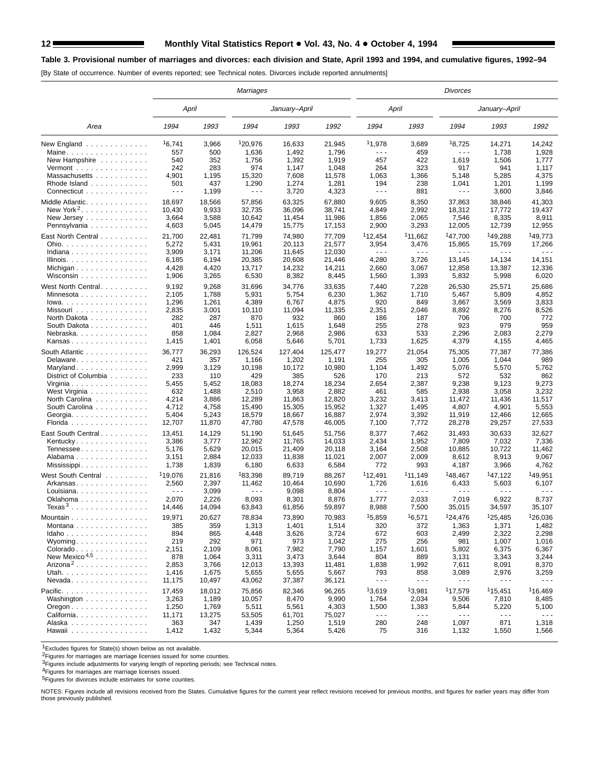# **12 Monthly Vital Statistics Report . Vol. 43, No. 4. • October 4, 1994**

# **Table 3. Provisional number of marriages and divorces: each division and State, April 1993 and 1994, and cumulative figures, 1992–94**

[By State of occurrence. Number of events reported; see Technical notes. Divorces include reported annulments]

|                                                                                                                                |                                                                         |                                                                           | <b>Marriages</b>                                                               |                                                                                |                                                                                  |                                                                                     |                                                                                     | Divorces                                                                                     |                                                                                             |                                                                        |
|--------------------------------------------------------------------------------------------------------------------------------|-------------------------------------------------------------------------|---------------------------------------------------------------------------|--------------------------------------------------------------------------------|--------------------------------------------------------------------------------|----------------------------------------------------------------------------------|-------------------------------------------------------------------------------------|-------------------------------------------------------------------------------------|----------------------------------------------------------------------------------------------|---------------------------------------------------------------------------------------------|------------------------------------------------------------------------|
|                                                                                                                                | April                                                                   |                                                                           |                                                                                | January–April                                                                  |                                                                                  | April                                                                               |                                                                                     |                                                                                              | January–April                                                                               |                                                                        |
| Area                                                                                                                           | 1994                                                                    | 1993                                                                      | 1994                                                                           | 1993                                                                           | 1992                                                                             | 1994                                                                                | 1993                                                                                | 1994                                                                                         | 1993                                                                                        | 1992                                                                   |
| New England                                                                                                                    | 16,741                                                                  | 3,966                                                                     | 120,976                                                                        | 16,633                                                                         | 21,945                                                                           | 11,978                                                                              | 3,689                                                                               | 18,725                                                                                       | 14,271                                                                                      | 14,242                                                                 |
| Maine                                                                                                                          | 557                                                                     | 500                                                                       | 1,636                                                                          | 1,492                                                                          | 1,796                                                                            | - - -                                                                               | 459                                                                                 | - - -                                                                                        | 1,738                                                                                       | 1,928                                                                  |
| New Hampshire                                                                                                                  | 540                                                                     | 352                                                                       | 1,756                                                                          | 1,392                                                                          | 1,919                                                                            | 457                                                                                 | 422                                                                                 | 1,619                                                                                        | 1,506                                                                                       | 1,777                                                                  |
| Vermont $\dots\dots\dots\dots\dots\dots$                                                                                       | 242                                                                     | 283                                                                       | 974                                                                            | 1,147                                                                          | 1,048                                                                            | 264                                                                                 | 323                                                                                 | 917                                                                                          | 941                                                                                         | 1,117                                                                  |
| Massachusetts                                                                                                                  | 4,901                                                                   | 1,195                                                                     | 15,320                                                                         | 7,608                                                                          | 11,578                                                                           | 1,063                                                                               | 1,366                                                                               | 5,148                                                                                        | 5,285                                                                                       | 4,375                                                                  |
| Rhode Island                                                                                                                   | 501                                                                     | 437                                                                       | 1,290                                                                          | 1,274                                                                          | 1,281                                                                            | 194                                                                                 | 238                                                                                 | 1,041                                                                                        | 1,201                                                                                       | 1,199                                                                  |
| Connecticut                                                                                                                    | $\sim$ $\sim$ $\sim$                                                    | 1,199                                                                     | $- - -$                                                                        | 3,720                                                                          | 4,323                                                                            | $\sim$ $\sim$ $\sim$                                                                | 881                                                                                 | $\sim$ $\sim$ $\sim$                                                                         | 3,600                                                                                       | 3,846                                                                  |
| Middle Atlantic.                                                                                                               | 18,697                                                                  | 18,566                                                                    | 57,856                                                                         | 63,325                                                                         | 67,880                                                                           | 9,605                                                                               | 8,350                                                                               | 37,863                                                                                       | 38,846                                                                                      | 41,303                                                                 |
| New York <sup>2</sup> . $\ldots$                                                                                               | 10,430                                                                  | 9,933                                                                     | 32,735                                                                         | 36,096                                                                         | 38,741                                                                           | 4,849                                                                               | 2,992                                                                               | 18,312                                                                                       | 17,772                                                                                      | 19,437                                                                 |
| New Jersey                                                                                                                     | 3,664                                                                   | 3,588                                                                     | 10,642                                                                         | 11,454                                                                         | 11,986                                                                           | 1,856                                                                               | 2,065                                                                               | 7,546                                                                                        | 8,335                                                                                       | 8,911                                                                  |
| Pennsylvania                                                                                                                   | 4,603                                                                   | 5,045                                                                     | 14,479                                                                         | 15,775                                                                         | 17,153                                                                           | 2,900                                                                               | 3,293                                                                               | 12,005                                                                                       | 12,739                                                                                      | 12,955                                                                 |
| East North Central<br>Ohio.<br>Indiana<br>Illinois.<br>Michigan<br>Wisconsin                                                   | 21,700<br>5,272<br>3,909<br>6,185<br>4,428<br>1,906                     | 22,481<br>5,431<br>3,171<br>6,194<br>4,420<br>3,265                       | 71,799<br>19,961<br>11,206<br>20,385<br>13,717<br>6,530                        | 74,980<br>20,113<br>11,645<br>20,608<br>14,232<br>8,382                        | 77,709<br>21,577<br>12,030<br>21,446<br>14,211<br>8,445                          | <sup>1</sup> 12,454<br>3,954<br>- - -<br>4,280<br>2,660<br>1,560                    | <sup>1</sup> 11,662<br>3,476<br>$\sim$ $\sim$ $\sim$<br>3,726<br>3,067<br>1,393     | <sup>1</sup> 47,700<br>15,865<br>.<br>13,145<br>12,858<br>5,832                              | <sup>1</sup> 49,288<br>15,769<br>.<br>14,134<br>13,387<br>5,998                             | <sup>1</sup> 49,773<br>17,266<br>14,151<br>12,336<br>6,020             |
| West North Central                                                                                                             | 9,192                                                                   | 9,268                                                                     | 31,696                                                                         | 34,776                                                                         | 33,635                                                                           | 7,440                                                                               | 7,228                                                                               | 26,530                                                                                       | 25,571                                                                                      | 25,686                                                                 |
| Minnesota                                                                                                                      | 2,105                                                                   | 1,788                                                                     | 5,931                                                                          | 5,754                                                                          | 6,230                                                                            | 1,362                                                                               | 1,710                                                                               | 5,467                                                                                        | 5,809                                                                                       | 4,852                                                                  |
| Iowa.                                                                                                                          | 1,296                                                                   | 1,261                                                                     | 4,389                                                                          | 6,767                                                                          | 4,875                                                                            | 920                                                                                 | 849                                                                                 | 3,867                                                                                        | 3,569                                                                                       | 3,833                                                                  |
| Missouri                                                                                                                       | 2,835                                                                   | 3,001                                                                     | 10,110                                                                         | 11,094                                                                         | 11,335                                                                           | 2,351                                                                               | 2,046                                                                               | 8,892                                                                                        | 8,276                                                                                       | 8,526                                                                  |
| North Dakota                                                                                                                   | 282                                                                     | 287                                                                       | 870                                                                            | 932                                                                            | 860                                                                              | 186                                                                                 | 187                                                                                 | 706                                                                                          | 700                                                                                         | 772                                                                    |
| South Dakota                                                                                                                   | 401                                                                     | 446                                                                       | 1,511                                                                          | 1,615                                                                          | 1,648                                                                            | 255                                                                                 | 278                                                                                 | 923                                                                                          | 979                                                                                         | 959                                                                    |
| Nebraska                                                                                                                       | 858                                                                     | 1,084                                                                     | 2,827                                                                          | 2,968                                                                          | 2,986                                                                            | 633                                                                                 | 533                                                                                 | 2,296                                                                                        | 2,083                                                                                       | 2,279                                                                  |
| Kansas                                                                                                                         | 1,415                                                                   | 1,401                                                                     | 6,058                                                                          | 5,646                                                                          | 5,701                                                                            | 1,733                                                                               | 1,625                                                                               | 4,379                                                                                        | 4,155                                                                                       | 4,465                                                                  |
| South Atlantic                                                                                                                 | 36,777                                                                  | 36,293                                                                    | 126,524                                                                        | 127,404                                                                        | 125,477                                                                          | 19,277                                                                              | 21,054                                                                              | 75,305                                                                                       | 77,387                                                                                      | 77,386                                                                 |
| Delaware                                                                                                                       | 421                                                                     | 357                                                                       | 1,166                                                                          | 1,202                                                                          | 1,191                                                                            | 255                                                                                 | 305                                                                                 | 1,005                                                                                        | 1,044                                                                                       | 989                                                                    |
| Maryland                                                                                                                       | 2,999                                                                   | 3,129                                                                     | 10,198                                                                         | 10,172                                                                         | 10,980                                                                           | 1,104                                                                               | 1,492                                                                               | 5,076                                                                                        | 5,570                                                                                       | 5,762                                                                  |
| District of Columbia                                                                                                           | 233                                                                     | 110                                                                       | 429                                                                            | 385                                                                            | 526                                                                              | 170                                                                                 | 213                                                                                 | 572                                                                                          | 532                                                                                         | 862                                                                    |
| Virginia                                                                                                                       | 5,455                                                                   | 5,452                                                                     | 18,083                                                                         | 18,274                                                                         | 18,234                                                                           | 2,654                                                                               | 2,387                                                                               | 9,238                                                                                        | 9,123                                                                                       | 9,273                                                                  |
| West Virginia                                                                                                                  | 632                                                                     | 1,488                                                                     | 2,510                                                                          | 3,958                                                                          | 2,882                                                                            | 461                                                                                 | 585                                                                                 | 2,938                                                                                        | 3,058                                                                                       | 3,232                                                                  |
| North Carolina                                                                                                                 | 4,214                                                                   | 3,886                                                                     | 12,289                                                                         | 11,863                                                                         | 12,820                                                                           | 3,232                                                                               | 3,413                                                                               | 11,472                                                                                       | 11,436                                                                                      | 11,517                                                                 |
| South Carolina                                                                                                                 | 4,712                                                                   | 4,758                                                                     | 15,490                                                                         | 15,305                                                                         | 15,952                                                                           | 1,327                                                                               | 1,495                                                                               | 4,807                                                                                        | 4,901                                                                                       | 5,553                                                                  |
| Georgia.                                                                                                                       | 5,404                                                                   | 5,243                                                                     | 18,579                                                                         | 18,667                                                                         | 16,887                                                                           | 2,974                                                                               | 3,392                                                                               | 11,919                                                                                       | 12,466                                                                                      | 12,665                                                                 |
| Florida                                                                                                                        | 12,707                                                                  | 11,870                                                                    | 47,780                                                                         | 47,578                                                                         | 46,005                                                                           | 7,100                                                                               | 7,772                                                                               | 28,278                                                                                       | 29,257                                                                                      | 27,533                                                                 |
| East South Central                                                                                                             | 13,451                                                                  | 14,129                                                                    | 51,190                                                                         | 51,645                                                                         | 51,756                                                                           | 8,377                                                                               | 7,462                                                                               | 31,493                                                                                       | 30,633                                                                                      | 32,627                                                                 |
| Kentucky.                                                                                                                      | 3,386                                                                   | 3,777                                                                     | 12,962                                                                         | 11,765                                                                         | 14,033                                                                           | 2,434                                                                               | 1,952                                                                               | 7,809                                                                                        | 7,032                                                                                       | 7,336                                                                  |
| Tennessee                                                                                                                      | 5,176                                                                   | 5,629                                                                     | 20,015                                                                         | 21,409                                                                         | 20,118                                                                           | 3,164                                                                               | 2,508                                                                               | 10,885                                                                                       | 10,722                                                                                      | 11,462                                                                 |
| Alabama                                                                                                                        | 3,151                                                                   | 2,884                                                                     | 12,033                                                                         | 11,838                                                                         | 11,021                                                                           | 2,007                                                                               | 2,009                                                                               | 8,612                                                                                        | 8,913                                                                                       | 9,067                                                                  |
|                                                                                                                                | 1,738                                                                   | 1,839                                                                     | 6,180                                                                          | 6,633                                                                          | 6,584                                                                            | 772                                                                                 | 993                                                                                 | 4,187                                                                                        | 3,966                                                                                       | 4,762                                                                  |
| West South Central                                                                                                             | 119,076                                                                 | 21,816                                                                    | 183,398                                                                        | 89,719                                                                         | 88,267                                                                           | <sup>1</sup> 12,491                                                                 | <sup>1</sup> 11,149                                                                 | <sup>1</sup> 48,467                                                                          | 147,122                                                                                     | <sup>1</sup> 49,951                                                    |
| Arkansas                                                                                                                       | 2,560                                                                   | 2,397                                                                     | 11,462                                                                         | 10,464                                                                         | 10,690                                                                           | 1,726                                                                               | 1,616                                                                               | 6,433                                                                                        | 5,603                                                                                       | 6,107                                                                  |
| Louisiana                                                                                                                      | $\sim$ $\sim$ $\sim$                                                    | 3,099                                                                     | $- - -$                                                                        | 9,098                                                                          | 8,804                                                                            | - - -                                                                               | $\sim$ $\sim$ $\sim$                                                                | .                                                                                            | $\sim$ $\sim$ $\sim$                                                                        | .                                                                      |
| Oklahoma                                                                                                                       | 2,070                                                                   | 2,226                                                                     | 8,093                                                                          | 8,301                                                                          | 8,876                                                                            | 1,777                                                                               | 2,033                                                                               | 7,019                                                                                        | 6,922                                                                                       | 8,737                                                                  |
| Texas <sup>3</sup>                                                                                                             | 14,446                                                                  | 14,094                                                                    | 63,843                                                                         | 61,856                                                                         | 59,897                                                                           | 8,988                                                                               | 7,500                                                                               | 35,015                                                                                       | 34,597                                                                                      | 35,107                                                                 |
| Mountain<br>Montana<br>Idaho<br>Wyoming<br>Colorado<br>New Mexico <sup>4,5</sup><br>Arizona <sup>2</sup><br>Utah.<br>$N$ evada | 19,971<br>385<br>894<br>219<br>2,151<br>878<br>2,853<br>1,416<br>11,175 | 20,627<br>359<br>865<br>292<br>2,109<br>1,064<br>3,766<br>1,675<br>10,497 | 78,834<br>1,313<br>4,448<br>971<br>8,061<br>3,311<br>12,013<br>5,655<br>43,062 | 73,890<br>1,401<br>3,626<br>973<br>7,982<br>3,473<br>13,393<br>5,655<br>37,387 | 70,983<br>1,514<br>3,724<br>1,042<br>7,790<br>3,644<br>11,481<br>5,667<br>36,121 | 15,859<br>320<br>672<br>275<br>1,157<br>804<br>1,838<br>793<br>$\sim$ $\sim$ $\sim$ | 16,571<br>372<br>603<br>256<br>1,601<br>889<br>1,992<br>858<br>$\sim$ $\sim$ $\sim$ | 124.476<br>1,363<br>2,499<br>981<br>5,802<br>3,131<br>7,611<br>3,089<br>$\sim$ $\sim$ $\sim$ | <sup>1</sup> 25,485<br>1,371<br>2,322<br>1,007<br>6,375<br>3,343<br>8,091<br>2,976<br>$  -$ | 126,036<br>1,482<br>2,298<br>1,016<br>6,367<br>3,244<br>8,370<br>3,259 |
| Pacific.                                                                                                                       | 17,459                                                                  | 18,012                                                                    | 75,856                                                                         | 82,346                                                                         | 96,265                                                                           | 13,619                                                                              | 13,981                                                                              | 117,579                                                                                      | <sup>1</sup> 15,451                                                                         | <sup>1</sup> 16,469                                                    |
| Washington                                                                                                                     | 3,263                                                                   | 1,189                                                                     | 10,057                                                                         | 8,470                                                                          | 9,990                                                                            | 1,764                                                                               | 2,034                                                                               | 9,506                                                                                        | 7,810                                                                                       | 8,485                                                                  |
| $O$ regon $\ldots \ldots \ldots \ldots \ldots$                                                                                 | 1,250                                                                   | 1,769                                                                     | 5,511                                                                          | 5,561                                                                          | 4,303                                                                            | 1,500                                                                               | 1,383                                                                               | 5,844                                                                                        | 5,220                                                                                       | 5,100                                                                  |
| California.                                                                                                                    | 11,171                                                                  | 13,275                                                                    | 53,505                                                                         | 61,701                                                                         | 75,027                                                                           | $  -$                                                                               | $\sim$ $\sim$ $\sim$                                                                | $\sim$ $\sim$ $\sim$                                                                         | $\sim$ $\sim$ $\sim$                                                                        | $\sim$ $\sim$ $\sim$                                                   |
| Alaska                                                                                                                         | 363                                                                     | 347                                                                       | 1,439                                                                          | 1,250                                                                          | 1,519                                                                            | 280                                                                                 | 248                                                                                 | 1,097                                                                                        | 871                                                                                         | 1,318                                                                  |
| Hawaii                                                                                                                         | 1,412                                                                   | 1,432                                                                     | 5,344                                                                          | 5,364                                                                          | 5,426                                                                            | 75                                                                                  | 316                                                                                 | 1,132                                                                                        | 1,550                                                                                       | 1,566                                                                  |

1Excludes figures for State(s) shown below as not available.

2Figures for marriages are marriage licenses issued for some counties.

<sup>3</sup>Figures include adjustments for varying length of reporting periods; see Technical notes.

4Figures for marriages are marriage licenses issued.

5Figures for divorces include estimates for some counties.

NOTES: Figures include all revisions received from the States. Cumulative figures for the current year reflect revisions received for previous months, and figures for earlier years may differ from those previously published.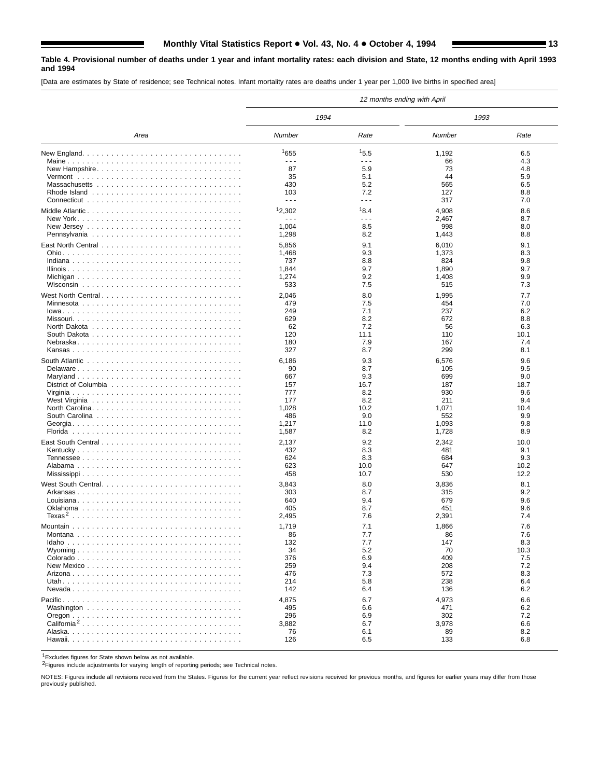## **Table 4. Provisional number of deaths under 1 year and infant mortality rates: each division and State, 12 months ending with April 1993 and 1994**

[Data are estimates by State of residence; see Technical notes. Infant mortality rates are deaths under 1 year per 1,000 live births in specified area]

|                         |                      |             | 12 months ending with April |             |
|-------------------------|----------------------|-------------|-----------------------------|-------------|
|                         | 1994                 |             | 1993                        |             |
| Area                    | Number               | Rate        | Number                      | Rate        |
|                         | 1655                 | 15.5        | 1,192                       | 6.5         |
|                         | $\sim$ $\sim$ $\sim$ | .           | 66                          | 4.3         |
| New Hampshire           | 87                   | 5.9         | 73                          | 4.8         |
|                         | 35                   | 5.1         | 44                          | 5.9         |
|                         | 430                  | 5.2         | 565                         | 6.5         |
|                         | 103                  | 7.2         | 127                         | 8.8         |
|                         | $\sim$ $\sim$ $\sim$ | - - -       | 317                         | 7.0         |
|                         | 12,302               | 18.4        | 4,908                       | 8.6         |
|                         | $\sim$ $\sim$ $\sim$ | .           | 2,467                       | 8.7         |
|                         | 1,004                | 8.5         | 998                         | 8.0         |
|                         | 1,298                | 8.2         | 1,443                       | 8.8         |
|                         | 5,856                | 9.1         | 6,010                       | 9.1         |
|                         | 1,468                | 9.3         | 1,373                       | 8.3         |
|                         | 737                  | 8.8         | 824                         | 9.8         |
|                         | 1,844                | 9.7         | 1,890                       | 9.7         |
|                         | 1,274                | 9.2         | 1,408                       | 9.9         |
|                         | 533                  | 7.5         | 515                         | 7.3         |
|                         | 2,046                | 8.0         | 1,995                       | 7.7         |
|                         | 479                  | 7.5         | 454                         | 7.0         |
|                         | 249                  | 7.1         | 237                         | 6.2         |
|                         | 629                  | 8.2         | 672                         | 8.8         |
|                         | 62                   | 7.2         | 56                          | 6.3         |
|                         | 120                  | 11.1        | 110                         | 10.1        |
|                         | 180                  | 7.9         | 167                         | 7.4         |
|                         | 327                  | 8.7         | 299                         | 8.1         |
|                         | 6,186                | 9.3         | 6,576                       | 9.6         |
| Delaware                | 90                   | 8.7         | 105                         | 9.5         |
|                         | 667                  | 9.3         | 699                         | 9.0         |
|                         | 157                  | 16.7        | 187                         | 18.7        |
|                         | 777                  | 8.2         | 930                         | 9.6         |
|                         | 177                  | 8.2<br>10.2 | 211                         | 9.4<br>10.4 |
|                         | 1,028<br>486         | 9.0         | 1,071<br>552                | 9.9         |
|                         | 1,217                | 11.0        | 1,093                       | 9.8         |
|                         | 1,587                | 8.2         | 1,728                       | 8.9         |
|                         |                      |             |                             |             |
|                         | 2,137                | 9.2         | 2,342                       | 10.0        |
|                         | 432<br>624           | 8.3<br>8.3  | 481<br>684                  | 9.1<br>9.3  |
|                         | 623                  | 10.0        | 647                         | 10.2        |
|                         | 458                  | 10.7        | 530                         | 12.2        |
|                         |                      |             |                             |             |
|                         | 3,843                | 8.0         | 3,836                       | 8.1         |
|                         | 303<br>640           | 8.7<br>9.4  | 315<br>679                  | 9.2<br>9.6  |
|                         | 405                  | 8.7         | 451                         | 9.6         |
|                         | 2,495                | 7.6         | 2,391                       | 7.4         |
|                         |                      |             |                             |             |
|                         | 1,719                | 7.1         | 1,866                       | 7.6         |
|                         | 86                   | 7.7         | 86                          | 7.6         |
|                         | 132<br>34            | 7.7<br>5.2  | 147<br>70                   | 8.3<br>10.3 |
|                         | 376                  | 6.9         | 409                         | 7.5         |
|                         | 259                  | 9.4         | 208                         | 7.2         |
|                         | 476                  | 7.3         | 572                         | 8.3         |
|                         | 214                  | 5.8         | 238                         | 6.4         |
|                         | 142                  | 6.4         | 136                         | 6.2         |
|                         | 4,875                | 6.7         | 4,973                       | 6.6         |
|                         | 495                  | 6.6         | 471                         | 6.2         |
|                         | 296                  | 6.9         | 302                         | 7.2         |
| California <sup>2</sup> | 3,882                | 6.7         | 3,978                       | 6.6         |
|                         | 76                   | 6.1         | 89                          | 8.2         |
|                         | 126                  | 6.5         | 133                         | 6.8         |
|                         |                      |             |                             |             |

1Excludes figures for State shown below as not available.

2Figures include adjustments for varying length of reporting periods; see Technical notes.

NOTES: Figures include all revisions received from the States. Figures for the current year reflect revisions received for previous months, and figures for earlier years may differ from those previously published.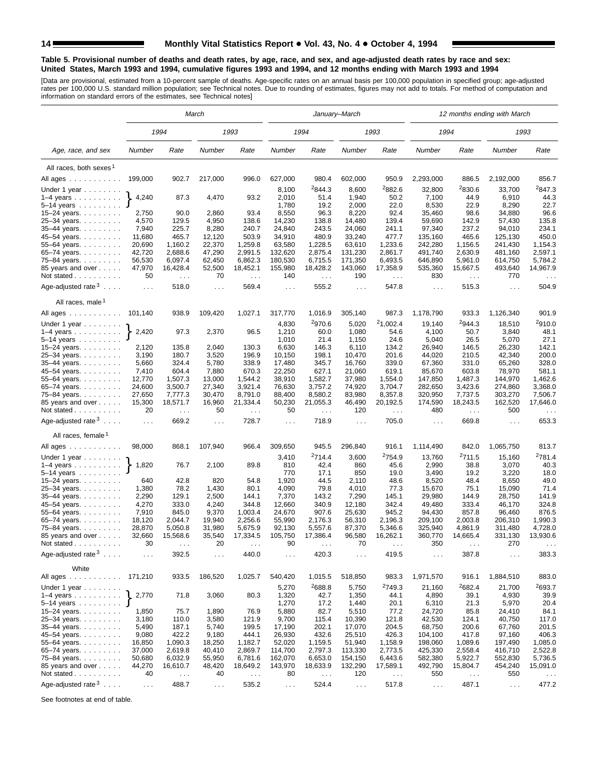#### **Table 5. Provisional number of deaths and death rates, by age, race, and sex, and age-adjusted death rates by race and sex: United States, March 1993 and 1994, cumulative figures 1993 and 1994, and 12 months ending with March 1993 and 1994**

[Data are provisional, estimated from a 10-percent sample of deaths. Age-specific rates on an annual basis per 100,000 population in specified group; age-adjusted<br>rates per 100,000 U.S. standard million population; see Tec

|                                          |                             |                             | March                         |                             |                      |                    | January–March                 |                      |                      |                      | 12 months ending with March   |                      |
|------------------------------------------|-----------------------------|-----------------------------|-------------------------------|-----------------------------|----------------------|--------------------|-------------------------------|----------------------|----------------------|----------------------|-------------------------------|----------------------|
|                                          |                             | 1994                        |                               | 1993                        |                      | 1994               |                               | 1993                 | 1994                 |                      | 1993                          |                      |
| Age, race, and sex                       | Number                      | Rate                        | Number                        | Rate                        | Number               | Rate               | Number                        | Rate                 | Number               | Rate                 | Number                        | Rate                 |
| All races, both sexes <sup>1</sup>       |                             |                             |                               |                             |                      |                    |                               |                      |                      |                      |                               |                      |
| All ages                                 | 199,000                     | 902.7                       | 217,000                       | 996.0                       | 627,000              | 980.4              | 602,000                       | 950.9                | 2,293,000            | 886.5                | 2,192,000                     | 856.7                |
| Under 1 year                             |                             |                             |                               |                             | 8,100                | <sup>2</sup> 844.3 | 8,600                         | <sup>2</sup> 882.6   | 32,800               | 2830.6               | 33,700                        | 2847.3               |
| $1-4$ years                              | 4,240                       | 87.3                        | 4,470                         | 93.2                        | 2,010                | 51.4               | 1,940                         | 50.2                 | 7,100                | 44.9                 | 6,910                         | 44.3                 |
| $5 - 14$ years                           |                             |                             |                               |                             | 1,780                | 19.2               | 2,000                         | 22.0                 | 8,530                | 22.9                 | 8,290                         | 22.7                 |
| 15-24 years.                             | 2,750                       | 90.0                        | 2,860                         | 93.4                        | 8,550                | 96.3               | 8,220                         | 92.4                 | 35,460               | 98.6                 | 34,880                        | 96.6                 |
| 25-34 years.                             | 4,570                       | 129.5                       | 4,950                         | 138.6                       | 14,230               | 138.8              | 14,480                        | 139.4                | 59,690               | 142.9                | 57,430                        | 135.8                |
| 35-44 years.                             | 7,940                       | 225.7                       | 8,280                         | 240.7                       | 24,840               | 243.5              | 24,060                        | 241.1                | 97,340               | 237.2                | 94,010                        | 234.1                |
| 45-54 years.                             | 11,680                      | 465.7                       | 12,120                        | 503.9                       | 34,910               | 480.9              | 33,240                        | 477.7                | 135,160              | 465.6                | 125,130                       | 450.0                |
| 55-64 years.                             | 20,690                      | 1,160.2                     | 22,370                        | 1,259.8                     | 63,580               | 1,228.5            | 63,610                        | 1,233.6              | 242,280              | 1,156.5              | 241,430                       | 1,154.3              |
| 65-74 years.                             | 42,720                      | 2,688.6                     | 47,290                        | 2,991.5                     | 132,620              | 2,875.4            | 131,230                       | 2,861.7              | 491,740              | 2,630.9              | 481,160                       | 2,597.1              |
| 75-84 years.                             | 56,530                      | 6,097.4                     | 62,450                        | 6,862.3                     | 180,530              | 6,715.5            | 171,350                       | 6,493.5              | 646,890              | 5,961.0              | 614,750                       | 5,784.2              |
| 85 years and over                        | 47,970                      | 16,428.4                    | 52,500                        | 18,452.1                    | 155,980              | 18,428.2           | 143,060                       | 17,358.9             | 535,360              | 15,667.5             | 493,640                       | 14,967.9             |
| Not stated                               | 50                          | $\sim$ $\sim$               | 70                            | $\sim 100$                  | 140                  | $\sim$ $\sim$      | 190                           | $\sim 100$           | 830                  | $\sim$ $\sim$        | 770                           | $\sim$ $\sim$        |
| Age-adjusted rate $3 \ldots$ .           | $\sim 100$                  | 518.0                       | $\sim 100$                    | 569.4                       | $\cdots$             | 555.2              | $\cdots$                      | 547.8                | $\sim 100$           | 515.3                | $\sim$ $\sim$ $\sim$          | 504.9                |
| All races, male <sup>1</sup>             |                             |                             |                               |                             |                      |                    |                               |                      |                      |                      |                               |                      |
| All ages                                 | 101,140                     | 938.9                       | 109,420                       | 1,027.1                     | 317,770              | 1,016.9            | 305,140                       | 987.3                | 1,178,790            | 933.3                | 1,126,340                     | 901.9                |
| Under 1 year                             |                             |                             |                               |                             | 4,830                | 2970.6             | 5,020                         | 21,002.4             | 19,140               | 2944.3               | 18,510                        | 2910.0               |
| $1-4$ years                              | 2,420                       | 97.3                        | 2,370                         | 96.5                        | 1,210                | 60.0               | 1,080                         | 54.6                 | 4,100                | 50.7                 | 3,840                         | 48.1                 |
| 5–14 years $\ldots$                      |                             |                             |                               |                             | 1,010                | 21.4               | 1,150                         | 24.6                 | 5,040                | 26.5                 | 5,070                         | 27.1                 |
| 15-24 years. $\ldots$                    | 2,120                       | 135.8                       | 2,040                         | 130.3                       | 6,630                | 146.3              | 6,110                         | 134.2                | 26,940               | 146.5                | 26,230                        | 142.1                |
| 25-34 years.                             | 3,190                       | 180.7                       | 3,520                         | 196.9                       | 10,150               | 198.1              | 10,470                        | 201.6                | 44,020               | 210.5                | 42,340                        | 200.0                |
| 35-44 years.                             | 5,660                       | 324.4                       | 5,780                         | 338.9                       | 17,480               | 345.7              | 16,760                        | 339.0                | 67,360               | 331.0                | 65,260                        | 328.0                |
| 45-54 years.                             | 7,410                       | 604.4                       | 7,880                         | 670.3                       | 22,250               | 627.1              | 21,060                        | 619.1<br>1,554.0     | 85,670               | 603.8<br>1,487.3     | 78,970                        | 581.1<br>1,462.6     |
| 55–64 years. $\ldots$                    | 12,770<br>24,600            | 1,507.3<br>3,500.7          | 13,000<br>27,340              | 1,544.2<br>3,921.4          | 38,910<br>76,630     | 1,582.7<br>3,757.2 | 37,980<br>74,920              | 3,704.7              | 147,850<br>282,650   | 3,423.6              | 144,970<br>274,860            | 3,368.0              |
| 65–74 years. $\ldots$<br>75-84 years.    | 27,650                      | 7,777.3                     | 30,470                        | 8,791.0                     | 88,400               | 8,580.2            | 83,980                        | 8,357.8              | 320,950              | 7,737.5              | 303,270                       | 7,506.7              |
| 85 years and over                        | 15,300                      | 18,571.7                    | 16,960                        | 21,334.4                    | 50,230               | 21,055.3           | 46,490                        | 20,192.5             | 174,590              | 18,243.5             | 162,520                       | 17,646.0             |
| Not stated                               | 20                          | $\sim$ $\sim$ $\sim$        | 50                            | $\sim$ $\sim$ $\sim$        | 50                   | $\cdots$           | 120                           | $\sim$ $\sim$ $\sim$ | 480                  | $\sim$ $\sim$ $\sim$ | 500                           | $\sim$ $\sim$        |
|                                          |                             |                             |                               |                             |                      |                    |                               |                      |                      |                      |                               |                      |
| Age-adjusted rate $3 \ldots$ .           | $\sim 10$                   | 669.2                       | $\sim 10$                     | 728.7                       | $\cdots$             | 718.9              | $\sim$                        | 705.0                | $\ldots$             | 669.8                | $\sim$ $\sim$ $\sim$          | 653.3                |
| All races, female <sup>1</sup>           |                             |                             |                               |                             |                      |                    |                               |                      |                      |                      |                               |                      |
| All ages                                 | 98,000                      | 868.1                       | 107,940                       | 966.4                       | 309,650              | 945.5              | 296,840                       | 916.1                | 1,114,490            | 842.0                | 1,065,750                     | 813.7                |
| Under 1 year                             |                             |                             |                               |                             | 3,410                | <sup>2</sup> 714.4 | 3,600                         | <sup>2</sup> 754.9   | 13,760               | <sup>2</sup> 711.5   | 15,160                        | <sup>2</sup> 781.4   |
| $1-4$ years $\ldots$ $\ldots$ $\ldots$ . | 1,820                       | 76.7                        | 2,100                         | 89.8                        | 810                  | 42.4               | 860                           | 45.6                 | 2,990                | 38.8                 | 3,070                         | 40.3                 |
| $5-14$ years $\ldots$ $\ldots$ .         |                             |                             |                               |                             | 770                  | 17.1               | 850                           | 19.0                 | 3,490                | 19.2                 | 3,220                         | 18.0                 |
| 15–24 years. $\ldots$                    | 640                         | 42.8                        | 820                           | 54.8                        | 1,920                | 44.5               | 2,110                         | 48.6                 | 8,520                | 48.4                 | 8,650                         | 49.0                 |
| 25-34 years.                             | 1,380                       | 78.2                        | 1,430                         | 80.1                        | 4,090                | 79.8               | 4,010                         | 77.3                 | 15,670               | 75.1                 | 15,090                        | 71.4                 |
| 35-44 years.                             | 2,290                       | 129.1                       | 2,500                         | 144.1                       | 7,370                | 143.2              | 7,290                         | 145.1                | 29,980               | 144.9                | 28,750                        | 141.9                |
| 45-54 years.                             | 4,270<br>7,910              | 333.0<br>845.0              | 4,240<br>9,370                | 344.8<br>1,003.4            | 12,660               | 340.9<br>907.6     | 12,180<br>25,630              | 342.4<br>945.2       | 49,480               | 333.4<br>857.8       | 46,170<br>96,460              | 324.8<br>876.5       |
| 55-64 years.<br>65-74 years.             | 18,120                      | 2,044.7                     | 19,940                        | 2,256.6                     | 24,670<br>55,990     | 2,176.3            | 56,310                        | 2,196.3              | 94,430<br>209,100    | 2,003.8              | 206,310                       | 1,990.3              |
| 75-84 years.                             | 28,870                      | 5,050.8                     | 31,980                        | 5,675.9                     | 92,130               | 5,557.6            | 87,370                        | 5,346.6              | 325,940              | 4,861.9              | 311,480                       | 4,728.0              |
| 85 years and over                        | 32,660                      | 15,568.6                    | 35,540                        | 17,334.5                    | 105,750              | 17,386.4           | 96,580                        | 16,262.1             | 360,770              | 14,665.4             | 331,130                       | 13,930.6             |
| Not stated                               | 30                          |                             | 20                            |                             | 90                   |                    | 70                            |                      | 350                  |                      | 270                           |                      |
| Age-adjusted rate $3 \ldots$ .           | $\mathcal{L}^{\mathcal{L}}$ | 392.5                       | $\sim$ $\sim$ $\sim$          | 440.0                       | $\sim$ .             | 420.3              | $\sim$ .                      | 419.5                | $\sim$ $\sim$ $\sim$ | 387.8                | $\sim$ $\sim$                 | 383.3                |
| White                                    |                             |                             |                               |                             |                      |                    |                               |                      |                      |                      |                               |                      |
| All ages 171,210                         |                             | 933.5                       | 186,520                       | 1,025.7                     | 540,420              | 1,015.5            | 518,850                       | 983.3                | 1,971,570            | 916.1                | 1,884,510                     | 883.0                |
| Under 1 year                             |                             |                             |                               |                             | 5,270                | 2688.8             | 5,750                         | <sup>2</sup> 749.3   | 21,160               | <sup>2</sup> 682.4   | 21,700                        | 2693.7               |
| $1-4$ years                              | 2,770                       | 71.8                        | 3,060                         | 80.3                        | 1,320                | 42.7               | 1,350                         | 44.1                 | 4,890                | 39.1                 | 4,930                         | 39.9                 |
| 5–14 years $\dots$ <b>J</b>              |                             |                             |                               |                             | 1,270                | 17.2               | 1,440                         | 20.1                 | 6,310                | 21.3                 | 5,970                         | 20.4                 |
| 15-24 years.                             | 1,850                       | 75.7                        | 1,890                         | 76.9                        | 5,880                | 82.7               | 5,510                         | 77.2                 | 24,720               | 85.8                 | 24,410                        | 84.1                 |
| 25-34 years.                             | 3,180                       | 110.0                       | 3,580                         | 121.9                       | 9,700                | 115.4              | 10,390                        | 121.8                | 42,530               | 124.1                | 40,750                        | 117.0                |
| 35-44 years.                             | 5,490                       | 187.1                       | 5,740                         | 199.5                       | 17,190               | 202.1              | 17,070                        | 204.5                | 68,750               | 200.6                | 67,760                        | 201.5                |
| 45-54 years.                             | 9,080                       | 422.2                       | 9,180                         | 444.1                       | 26,930               | 432.6              | 25,510                        | 426.3                | 104,100              | 417.8                | 97,160                        | 406.3                |
| 55-64 years.                             | 16,850                      | 1,090.3                     | 18,250                        | 1,182.7                     | 52,020               | 1,159.5            | 51,940                        | 1,158.9              | 198,060              | 1,089.6              | 197,490                       | 1,085.0              |
| 65-74 years.                             | 37,000                      | 2,619.8                     | 40,410                        | 2,869.7                     | 114,700              | 2,797.3            | 113,330                       | 2,773.5              | 425,330              | 2,558.4              | 416,710                       | 2,522.8              |
| 75-84 years.                             | 50,680                      | 6,032.9                     | 55,950                        | 6,781.6                     | 162,070              | 6,653.0            | 154,150                       | 6,443.6              | 582,380              | 5,922.7              | 552,830                       | 5,736.5              |
| 85 years and over                        | 44,270                      | 16,610.7                    | 48,420                        | 18,649.2                    | 143,970              | 18,633.9           | 132,290                       | 17,589.1             | 492,790              | 15,804.7             | 454,240                       | 15,091.0             |
| Not stated                               | 40                          | $\mathcal{L}^{\mathcal{L}}$ | 40                            | $\mathcal{L}^{\mathcal{L}}$ | 80                   | $\ldots$           | 120                           | $\sim$ $\sim$        | 550                  | $\sim$ $\sim$        | 550                           | $\sim$ $\sim$ $\sim$ |
| Age-adjusted rate <sup>3</sup>           | $\sim 100$                  | 488.7                       | $\epsilon \rightarrow \infty$ | 535.2                       | $\sim$ $\sim$ $\sim$ | 524.4              | $\epsilon \rightarrow \infty$ | 517.8                | $\sim$ $\sim$ $\sim$ | 487.1                | $\epsilon \rightarrow \infty$ | 477.2                |

See footnotes at end of table.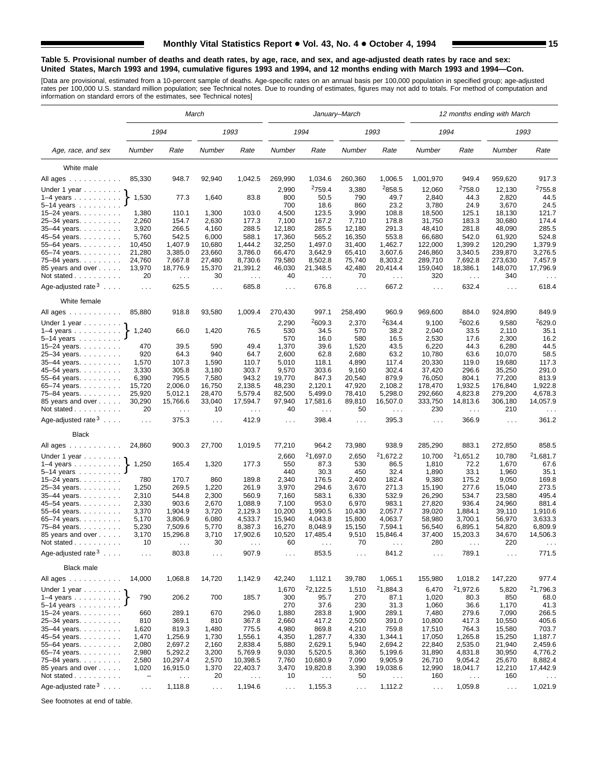#### **Table 5. Provisional number of deaths and death rates, by age, race, and sex, and age-adjusted death rates by race and sex: United States, March 1993 and 1994, cumulative figures 1993 and 1994, and 12 months ending with March 1993 and 1994—Con.**

[Data are provisional, estimated from a 10-percent sample of deaths. Age-specific rates on an annual basis per 100,000 population in specified group; age-adjusted<br>rates per 100,000 U.S. standard million population; see Tec

|                                                                 |                      |                                  | March          |                                  |                      |                      | January–March  |                                  |                      |                                  | 12 months ending with March |                                  |
|-----------------------------------------------------------------|----------------------|----------------------------------|----------------|----------------------------------|----------------------|----------------------|----------------|----------------------------------|----------------------|----------------------------------|-----------------------------|----------------------------------|
|                                                                 |                      | 1994                             |                | 1993                             |                      | 1994                 |                | 1993                             | 1994                 |                                  |                             | 1993                             |
| Age, race, and sex                                              | Number               | Rate                             | Number         | Rate                             | Number               | Rate                 | Number         | Rate                             | Number               | Rate                             | Number                      | Rate                             |
| White male                                                      |                      |                                  |                |                                  |                      |                      |                |                                  |                      |                                  |                             |                                  |
| All ages                                                        | 85,330               | 948.7                            | 92,940         | 1,042.5                          | 269,990              | 1,034.6              | 260,360        | 1,006.5                          | 1,001,970            | 949.4                            | 959,620                     | 917.3                            |
|                                                                 |                      |                                  |                |                                  |                      | 2759.4               |                | 2858.5                           |                      | <sup>2</sup> 758.0               |                             | <sup>2</sup> 755.8               |
| Under 1 year                                                    | 1,530                | 77.3                             | 1,640          | 83.8                             | 2,990<br>800         | 50.5                 | 3,380<br>790   | 49.7                             | 12,060<br>2,840      | 44.3                             | 12,130<br>2,820             | 44.5                             |
| $1-4$ years $\ldots$ $\ldots$ $\ldots$ .<br>5–14 years $\ldots$ |                      |                                  |                |                                  | 700                  | 18.6                 | 860            | 23.2                             | 3,780                | 24.9                             | 3,670                       | 24.5                             |
| 15-24 years.                                                    | 1,380                | 110.1                            | 1,300          | 103.0                            | 4,500                | 123.5                | 3,990          | 108.8                            | 18,500               | 125.1                            | 18,130                      | 121.7                            |
| 25-34 years.                                                    | 2,260                | 154.7                            | 2,630          | 177.3                            | 7,100                | 167.2                | 7,710          | 178.8                            | 31,750               | 183.3                            | 30,680                      | 174.4                            |
| 35-44 years.                                                    | 3,920                | 266.5                            | 4,160          | 288.5                            | 12,180               | 285.5                | 12,180         | 291.3                            | 48,410               | 281.8                            | 48,090                      | 285.5                            |
| 45-54 years.                                                    | 5,760                | 542.5                            | 6,000          | 588.1                            | 17,360               | 565.2                | 16,350         | 553.8                            | 66,680               | 542.0                            | 61,920                      | 524.8                            |
| 55-64 years.                                                    | 10,450               | 1,407.9                          | 10,680         | 1,444.2                          | 32,250               | 1,497.0              | 31,400         | 1,462.7                          | 122,000              | 1,399.2                          | 120,290                     | 1,379.9                          |
| 65-74 years.                                                    | 21,280               | 3,385.0                          | 23,660         | 3,786.0                          | 66,470               | 3,642.9              | 65,410         | 3,607.6                          | 246,860              | 3,340.5                          | 239,870                     | 3,276.5                          |
| 75-84 years.                                                    | 24,760               | 7,667.8                          | 27,480         | 8,730.6                          | 79,580               | 8,502.8              | 75,740         | 8,303.2                          | 289,710              | 7,692.8                          | 273,630                     | 7,457.9                          |
| 85 years and over                                               | 13,970               | 18,776.9                         | 15,370         | 21,391.2                         | 46,030               | 21,348.5             | 42,480         | 20,414.4                         | 159,040              | 18,386.1                         | 148,070                     | 17,796.9                         |
| Not stated                                                      | 20                   | $\sim$ $\sim$                    | 30             | $\sim$ $\sim$                    | 40                   | $\sim$ $\sim$        | 70             | $\ldots$                         | 320                  | $\sim 100$                       | 340                         | $\sim$ $\sim$                    |
| Age-adjusted rate $3 \ldots$ .                                  | $\ldots$             | 625.5                            | $\cdots$       | 685.8                            | $\cdots$             | 676.8                | $\cdots$       | 667.2                            | $\sim 100$           | 632.4                            | $\sim$ $\sim$               | 618.4                            |
| White female                                                    |                      |                                  |                |                                  |                      |                      |                |                                  |                      |                                  |                             |                                  |
| All ages                                                        | 85,880               | 918.8                            | 93,580         | 1,009.4                          | 270,430              | 997.1                | 258,490        | 960.9                            | 969,600              | 884.0                            | 924,890                     | 849.9                            |
| Under 1 year                                                    |                      |                                  |                |                                  | 2,290                | 2609.3               | 2,370          | 2634.4                           | 9,100                | 2602.6                           | 9,580                       | <sup>2</sup> 629.0               |
| $1-4$ years                                                     | 1,240                | 66.0                             | 1,420          | 76.5                             | 530                  | 34.5                 | 570            | 38.2                             | 2,040                | 33.5                             | 2,110                       | 35.1                             |
| $5 - 14$ years                                                  |                      |                                  |                |                                  | 570                  | 16.0                 | 580            | 16.5                             | 2,530                | 17.6                             | 2,300                       | 16.2                             |
| 15-24 years.                                                    | 470                  | 39.5                             | 590            | 49.4                             | 1,370                | 39.6                 | 1,520          | 43.5                             | 6,220                | 44.3                             | 6,280<br>10.070             | 44.5                             |
| 25-34 years.<br>35-44 years.                                    | 920<br>1,570         | 64.3<br>107.3                    | 940<br>1,590   | 64.7<br>110.7                    | 2,600<br>5,010       | 62.8<br>118.1        | 2,680<br>4,890 | 63.2<br>117.4                    | 10,780<br>20,330     | 63.6<br>119.0                    | 19.680                      | 58.5<br>117.3                    |
| 45–54 years.                                                    | 3,330                | 305.8                            | 3,180          | 303.7                            | 9,570                | 303.6                | 9,160          | 302.4                            | 37,420               | 296.6                            | 35,250                      | 291.0                            |
| 55-64 years.                                                    | 6,390                | 795.5                            | 7,580          | 943.2                            | 19,770               | 847.3                | 20,540         | 879.9                            | 76,050               | 804.1                            | 77,200                      | 813.9                            |
| 65-74 years.                                                    | 15,720               | 2,006.0                          | 16,750         | 2,138.5                          | 48,230               | 2,120.1              | 47,920         | 2,108.2                          | 178,470              | 1,932.5                          | 176.840                     | 1,922.8                          |
| 75-84 years                                                     | 25,920               | 5,012.1                          | 28,470         | 5,579.4                          | 82,500               | 5,499.0              | 78,410         | 5,298.0                          | 292,660              | 4,823.8                          | 279,200                     | 4,678.3                          |
| 85 years and over<br>Not stated                                 | 30,290<br>20         | 15,766.6<br>$\sim$ $\sim$ $\sim$ | 33,040<br>10   | 17,594.7<br>$\sim$ $\sim$ $\sim$ | 97,940<br>40         | 17,581.6<br>$\sim$ . | 89,810<br>50   | 16,507.0<br>$\sim$ $\sim$ $\sim$ | 333,750<br>230       | 14,813.6<br>$\sim$ $\sim$ $\sim$ | 306,180<br>210              | 14,057.9<br>$\sim$ $\sim$ $\sim$ |
| Age-adjusted rate $3 \ldots$ .                                  | $\sim 100$           | 375.3                            | $\cdots$       | 412.9                            | $\cdots$             | 398.4                | $\cdots$       | 395.3                            | $\sim 100$           | 366.9                            | $\cdots$                    | 361.2                            |
| <b>Black</b>                                                    |                      |                                  |                |                                  |                      |                      |                |                                  |                      |                                  |                             |                                  |
| All ages                                                        | 24,860               | 900.3                            | 27,700         | 1,019.5                          | 77,210               | 964.2                | 73,980         | 938.9                            | 285,290              | 883.1                            | 272,850                     | 858.5                            |
| Under 1 year                                                    |                      |                                  |                |                                  | 2,660                | 21,697.0             | 2,650          | 21,672.2                         | 10,700               | 21,651.2                         | 10,780                      | 21,681.7                         |
| $1-4$ years                                                     | 1,250                | 165.4                            | 1,320          | 177.3                            | 550                  | 87.3                 | 530            | 86.5                             | 1,810                | 72.2                             | 1,670                       | 67.6                             |
| 5-14 years                                                      |                      |                                  |                |                                  | 440                  | 30.3                 | 450            | 32.4                             | 1,890                | 33.1                             | 1,960                       | 35.1                             |
| 15–24 years. $\ldots$                                           | 780                  | 170.7                            | 860            | 189.8                            | 2,340                | 176.5                | 2,400          | 182.4                            | 9,380                | 175.2<br>277.6                   | 9,050                       | 169.8<br>273.5                   |
| 25-34 years.                                                    | 1,250<br>2,310       | 269.5<br>544.8                   | 1,220<br>2,300 | 261.9<br>560.9                   | 3,970<br>7,160       | 294.6<br>583.1       | 3,670<br>6,330 | 271.3<br>532.9                   | 15,190<br>26,290     | 534.7                            | 15,040<br>23,580            | 495.4                            |
| 35-44 years.<br>45-54 years.                                    | 2,330                | 903.6                            | 2,670          | 1,088.9                          | 7,100                | 953.0                | 6,970          | 983.1                            | 27,820               | 936.4                            | 24,960                      | 881.4                            |
| 55-64 years.                                                    | 3,370                | 1,904.9                          | 3,720          | 2,129.3                          | 10,200               | 1,990.5              | 10,430         | 2,057.7                          | 39,020               | 1,884.1                          | 39,110                      | 1,910.6                          |
| 65-74 years.                                                    | 5,170                | 3,806.9                          | 6,080          | 4,533.7                          | 15,940               | 4,043.8              | 15,800         | 4,063.7                          | 58,980               | 3,700.1                          | 56,970                      | 3,633.3                          |
| 75-84 years.                                                    | 5,230                | 7,509.6                          | 5,770          | 8,387.3                          | 16,270               | 8,048.9              | 15,150         | 7,594.1                          | 56,540               | 6,895.1                          | 54,820                      | 6,809.9                          |
| 85 years and over                                               | 3,170                | 15,296.8                         | 3,710          | 17,902.6                         | 10,520               | 17,485.4             | 9,510          | 15,846.4                         | 37,400               | 15,203.3                         | 34,670                      | 14,506.3                         |
| Not stated                                                      | 10                   |                                  | 30             |                                  | 60                   |                      | 70             |                                  | 280                  |                                  | 220                         |                                  |
| Age-adjusted rate $3 \ldots$ .                                  | $\sim$ $\sim$ $\sim$ | 803.8                            | $\sim$ .       | 907.9                            | $\sim$ $\sim$ $\sim$ | 853.5                | $\sim$ $\sim$  | 841.2                            | $\sim$ $\sim$ $\sim$ | 789.1                            | $\sim$ $\sim$               | 771.5                            |
| <b>Black male</b>                                               |                      |                                  |                |                                  |                      |                      |                |                                  |                      |                                  |                             |                                  |
| All ages                                                        | 14,000               | 1,068.8                          | 14,720         | 1,142.9                          | 42,240               | 1,112.1              | 39,780         | 1,065.1                          | 155,980              | 1,018.2                          | 147,220                     | 977.4                            |
| Under 1 year $\ldots \ldots$                                    |                      |                                  |                |                                  | 1,670                | <sup>2</sup> 2,122.5 | 1,510          | 21,884.3                         | 6,470                | 21,972.6                         | 5,820                       | <sup>2</sup> 1,796.3             |
| $1-4$ years                                                     | 790                  | 206.2                            | 700            | 185.7                            | 300                  | 95.7                 | 270            | 87.1                             | 1,020                | 80.3                             | 850                         | 68.0                             |
| 5-14 years                                                      |                      |                                  |                |                                  | 270                  | 37.6                 | 230            | 31.3                             | 1,060                | 36.6                             | 1,170                       | 41.3                             |
| 15-24 years.                                                    | 660                  | 289.1                            | 670            | 296.0                            | 1,880                | 283.8                | 1,900          | 289.1                            | 7,480                | 279.6                            | 7,090                       | 266.5                            |
| 25-34 years.                                                    | 810                  | 369.1                            | 810            | 367.8                            | 2,660                | 417.2                | 2,500          | 391.0                            | 10,800               | 417.3                            | 10,550                      | 405.6                            |
| 35-44 years.<br>45-54 years.                                    | 1,620<br>1,470       | 819.3<br>1,256.9                 | 1,480<br>1,730 | 775.5<br>1,556.1                 | 4,980<br>4,350       | 869.8<br>1,287.7     | 4,210<br>4,330 | 759.8<br>1,344.1                 | 17,510<br>17,050     | 764.3<br>1,265.8                 | 15,580<br>15,250            | 703.7<br>1,187.7                 |
| 55-64 years.                                                    | 2,080                | 2,697.2                          | 2,160          | 2,838.4                          | 5,880                | 2,629.1              | 5,940          | 2,694.2                          | 22,840               | 2,535.0                          | 21,940                      | 2,459.6                          |
| 65-74 years.                                                    | 2,980                | 5,292.2                          | 3,200          | 5,769.9                          | 9,030                | 5,520.5              | 8,360          | 5,199.6                          | 31,890               | 4,831.8                          | 30,950                      | 4,776.2                          |
| 75-84 years.                                                    | 2,580                | 10,297.4                         | 2,570          | 10,398.5                         | 7,760                | 10,680.9             | 7,090          | 9,905.9                          | 26,710               | 9,054.2                          | 25,670                      | 8,882.4                          |
| 85 years and over                                               | 1,020                | 16,915.0                         | 1,370          | 22,403.7                         | 3,470                | 19,820.8             | 3,390          | 19,038.6                         | 12,990               | 18,041.7                         | 12,210                      | 17,442.9                         |
| Not stated                                                      | -                    | $\epsilon \rightarrow \infty$    | 20             | $\sim$ $\sim$                    | 10                   | $\ldots$             | 50             | $\sim$ $\sim$                    | 160                  | $\sim$ $\sim$                    | 160                         |                                  |
| Age-adjusted rate $3 \ldots$ .                                  | $\sim$ $\sim$        | 1,118.8                          | $\sim$ $\sim$  | 1,194.6                          | $\sim$ $\sim$        | 1,155.3              | $\sim$ $\sim$  | 1,112.2                          | $\sim$ $\sim$        | 1,059.8                          | $\sim$ $\sim$               | 1,021.9                          |

See footnotes at end of table.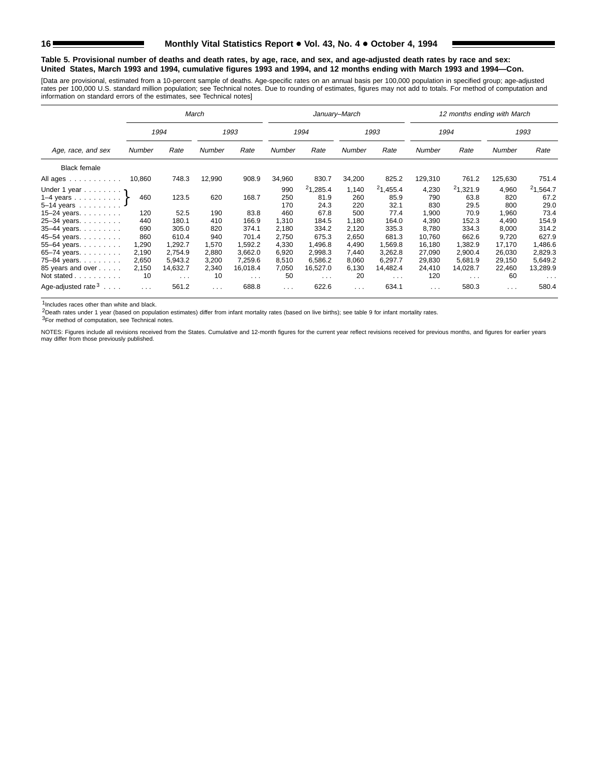#### **Table 5. Provisional number of deaths and death rates, by age, race, and sex, and age-adjusted death rates by race and sex: United States, March 1993 and 1994, cumulative figures 1993 and 1994, and 12 months ending with March 1993 and 1994—Con.**

[Data are provisional, estimated from a 10-percent sample of deaths. Age-specific rates on an annual basis per 100,000 population in specified group; age-adjusted<br>rates per 100,000 U.S. standard million population; see Tec

|                                                               |          |                      | March    |            |          |                      | January-March |                      |               | 12 months ending with March |               |                      |
|---------------------------------------------------------------|----------|----------------------|----------|------------|----------|----------------------|---------------|----------------------|---------------|-----------------------------|---------------|----------------------|
|                                                               |          | 1994                 |          | 1993       |          | 1994                 |               | 1993                 |               | 1994                        |               | 1993                 |
| Age, race, and sex                                            | Number   | Rate                 | Number   | Rate       | Number   | Rate                 | Number        | Rate                 | <b>Number</b> | Rate                        | <b>Number</b> | Rate                 |
| <b>Black female</b>                                           |          |                      |          |            |          |                      |               |                      |               |                             |               |                      |
| All ages<br>and a series and a series                         | 10,860   | 748.3                | 12,990   | 908.9      | 34,960   | 830.7                | 34,200        | 825.2                | 129,310       | 761.2                       | 125,630       | 751.4                |
| Under 1 year                                                  |          |                      |          |            | 990      | 21,285.4             | 1,140         | 21,455.4             | 4,230         | 21,321.9                    | 4,960         | 21,564.7             |
| 1-4 years $\uparrow$                                          | 460      | 123.5                | 620      | 168.7      | 250      | 81.9                 | 260           | 85.9                 | 790           | 63.8                        | 820           | 67.2                 |
| $5 - 14$ years                                                |          |                      |          |            | 170      | 24.3                 | 220           | 32.1                 | 830           | 29.5                        | 800           | 29.0                 |
| 15-24 years. $\ldots$                                         | 120      | 52.5                 | 190      | 83.8       | 460      | 67.8                 | 500           | 77.4                 | 1,900         | 70.9                        | 1,960         | 73.4                 |
| 25-34 years                                                   | 440      | 180.1                | 410      | 166.9      | 1,310    | 184.5                | 1.180         | 164.0                | 4,390         | 152.3                       | 4,490         | 154.9                |
| 35-44 years.                                                  | 690      | 305.0                | 820      | 374.1      | 2,180    | 334.2                | 2,120         | 335.3                | 8,780         | 334.3                       | 8,000         | 314.2                |
| 45-54 years.                                                  | 860      | 610.4                | 940      | 701.4      | 2,750    | 675.3                | 2,650         | 681.3                | 10.760        | 662.6                       | 9,720         | 627.9                |
| 55-64 years.                                                  | 1,290    | 1,292.7              | 1,570    | 1,592.2    | 4,330    | 1.496.8              | 4,490         | 1.569.8              | 16.180        | 1.382.9                     | 17.170        | ,486.6               |
| 65-74 years.                                                  | 2,190    | 2,754.9              | 2,880    | 3,662.0    | 6,920    | 2,998.3              | 7,440         | 3,262.8              | 27,090        | 2,900.4                     | 26,030        | 2,829.3              |
| 75-84 years.                                                  | 2,650    | 5.943.2              | 3,200    | 7,259.6    | 8,510    | 6,586.2              | 8,060         | 6,297.7              | 29,830        | 5.681.9                     | 29,150        | 5,649.2              |
| 85 years and over                                             | 2,150    | 14,632.7             | 2,340    | 16,018.4   | 7,050    | 16,527.0             | 6,130         | 14.482.4             | 24,410        | 14,028.7                    | 22,460        | 13,289.9             |
| Not stated                                                    | 10       | $\sim$ $\sim$ $\sim$ | 10       | $\sim 100$ | 50       | $\sim$ $\sim$ $\sim$ | 20            | $\sim$ $\sim$ $\sim$ | 120           | $\sim$ $\sim$ $\sim$        | 60            | $\sim$ $\sim$ $\sim$ |
| Age-adjusted rate <sup>3</sup><br>$\sim$ $\sim$ $\sim$ $\sim$ | $\cdots$ | 561.2                | $\cdots$ | 688.8      | $\cdots$ | 622.6                | $\cdots$      | 634.1                | $\cdots$      | 580.3                       | $\mathbf{1}$  | 580.4                |

1Includes races other than white and black.

2Death rates under 1 year (based on population estimates) differ from infant mortality rates (based on live births); see table 9 for infant mortality rates.

3For method of computation, see Technical notes.

NOTES: Figures include all revisions received from the States. Cumulative and 12-month figures for the current year reflect revisions received for previous months, and figures for earlier years may differ from those previously published.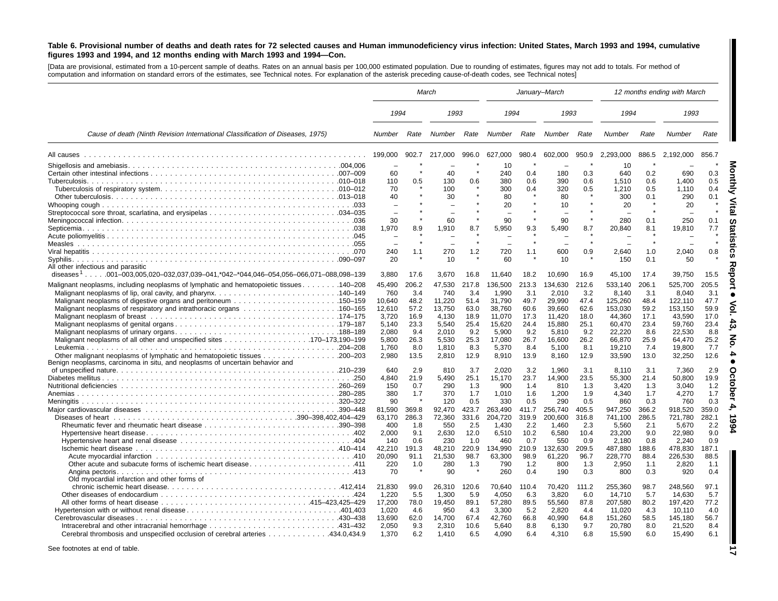#### Table 6. Provisional number of deaths and death rates for 72 selected causes and Human immunodeficiency virus infection: United States, March 1993 and 1994, cumulative figures 1993 and 1994, and 12 months ending with March 1993 and 1994-Con.

[Data are provisional, estimated from <sup>a</sup> 10-percent sample of deaths. Rates on an annual basis per 100,000 estimated population. Due to rounding of estimates, figures may not add to totals. For method of computation and information on standard errors of the estimates, see Technical notes. For explanation of the asterisk preceding cause-of-death codes, see Technical notes]

|                                                                                                                                                                                               |                                                                                         |                                                                            | March                                                                                   |                                                                            |                                                                                               |                                                                            | January-March                                                                                 |                                                                            | 12 months ending with March                                                                        |                                                                            |                                                                                                    |                                                                            |
|-----------------------------------------------------------------------------------------------------------------------------------------------------------------------------------------------|-----------------------------------------------------------------------------------------|----------------------------------------------------------------------------|-----------------------------------------------------------------------------------------|----------------------------------------------------------------------------|-----------------------------------------------------------------------------------------------|----------------------------------------------------------------------------|-----------------------------------------------------------------------------------------------|----------------------------------------------------------------------------|----------------------------------------------------------------------------------------------------|----------------------------------------------------------------------------|----------------------------------------------------------------------------------------------------|----------------------------------------------------------------------------|
|                                                                                                                                                                                               | 1994                                                                                    |                                                                            | 1993                                                                                    |                                                                            | 1994                                                                                          |                                                                            | 1993                                                                                          |                                                                            | 1994                                                                                               |                                                                            | 1993                                                                                               |                                                                            |
| Cause of death (Ninth Revision International Classification of Diseases, 1975)                                                                                                                | Number                                                                                  | Rate                                                                       | Number                                                                                  | Rate                                                                       | Number                                                                                        | Rate                                                                       | Number                                                                                        | Rate                                                                       | Number                                                                                             | Rate                                                                       | Number                                                                                             | Rate                                                                       |
|                                                                                                                                                                                               | 199,000                                                                                 | 902.7                                                                      | 217.000                                                                                 | 996.0                                                                      | 627,000                                                                                       | 980.4                                                                      | 602,000                                                                                       | 950.9                                                                      | 2.293.000                                                                                          | 886.5                                                                      | 2.192.000                                                                                          | 856.7                                                                      |
|                                                                                                                                                                                               | 60<br>110<br>70<br>40<br>30<br>1,970<br>240<br>20                                       | 0.5<br>8.9<br>1.1                                                          | 40<br>130<br>100<br>30<br>60<br>1,910<br>270<br>10                                      | 0.6<br>8.7<br>1.2                                                          | 10<br>240<br>380<br>300<br>80<br>20<br>90<br>5,950<br>720<br>60                               | 0.4<br>0.6<br>0.4<br>9.3<br>1.1                                            | 180<br>390<br>320<br>80<br>10<br>90<br>5,490<br>600<br>10                                     | 0.3<br>0.6<br>0.5<br>8.7<br>0.9                                            | 10<br>640<br>1,510<br>1,210<br>300<br>20<br>280<br>20,840<br>2,640<br>150                          | 0.2<br>0.6<br>0.5<br>0.1<br>0.1<br>8.1<br>1.0<br>0.1                       | 690<br>1,400<br>1,110<br>290<br>20<br>250<br>19,810<br>2,040<br>50                                 | 0.3<br>0.5<br>0.4<br>0.1<br>0.1<br>7.7<br>0.8                              |
| All other infectious and parasitic<br>diseases <sup>1</sup> 001-003,005,020-032,037,039-041,*042-*044,046-054,056-066,071-088,098-139                                                         | 3,880                                                                                   | 17.6                                                                       | 3,670                                                                                   | 16.8                                                                       | 11,640                                                                                        | 18.2                                                                       | 10.690                                                                                        | 16.9                                                                       | 45,100                                                                                             | 17.4                                                                       | 39,750                                                                                             | 15.5                                                                       |
| 140–208. 140–208. Malignant neoplasive including neoplasms of lymphatic and hematopoietic tissues<br>Leukemia<br>Benign neoplasms, carcinoma in situ, and neoplasms of uncertain behavior and | 45.490<br>760<br>10,640<br>12,610<br>3,720<br>5.140<br>2.080<br>5.800<br>1,760<br>2,980 | 206.2<br>3.4<br>48.2<br>57.2<br>16.9<br>23.3<br>9.4<br>26.3<br>8.0<br>13.5 | 47,530<br>740<br>11,220<br>13,750<br>4,130<br>5.540<br>2.010<br>5,530<br>1,810<br>2,810 | 217.8<br>3.4<br>51.4<br>63.0<br>18.9<br>25.4<br>9.2<br>25.3<br>8.3<br>12.9 | 136,500<br>1,990<br>31,790<br>38,760<br>11,070<br>15.620<br>5,900<br>17,080<br>5,370<br>8,910 | 213.3<br>3.1<br>49.7<br>60.6<br>17.3<br>24.4<br>9.2<br>26.7<br>8.4<br>13.9 | 134,630<br>2,010<br>29,990<br>39,660<br>11,420<br>15.880<br>5,810<br>16,600<br>5,100<br>8,160 | 212.6<br>3.2<br>47.4<br>62.6<br>18.0<br>25.1<br>9.2<br>26.2<br>8.1<br>12.9 | 533.140<br>8,140<br>125,260<br>153,030<br>44,360<br>60.470<br>22,220<br>66,870<br>19,210<br>33,590 | 206.1<br>3.1<br>48.4<br>59.2<br>17.1<br>23.4<br>8.6<br>25.9<br>7.4<br>13.0 | 525.700<br>8.040<br>122,110<br>153,150<br>43,590<br>59.760<br>22,530<br>64,470<br>19,800<br>32,250 | 205.5<br>3.1<br>47.7<br>59.9<br>17.0<br>23.4<br>8.8<br>25.2<br>7.7<br>12.6 |
|                                                                                                                                                                                               | 640                                                                                     | 2.9                                                                        | 810                                                                                     | 3.7                                                                        | 2.020                                                                                         | 3.2                                                                        | 1.960                                                                                         | 3.1                                                                        | 8.110                                                                                              | 3.1                                                                        | 7.360                                                                                              | 2.9                                                                        |
| Anemias                                                                                                                                                                                       | 4,840<br>150<br>380<br>90<br>81.590<br>63.170<br>400<br>2.000<br>140                    | 21.9<br>0.7<br>1.7<br>369.8<br>286.3<br>1.8<br>9.1<br>0.6                  | 5,490<br>290<br>370<br>120<br>92,470<br>72.360<br>550<br>2.630<br>230                   | 25.1<br>1.3<br>1.7<br>0.5<br>423.7<br>331.6<br>2.5<br>12.0<br>1.0          | 15,170<br>900<br>1.010<br>330<br>263,490<br>204,720<br>1.430<br>6,510<br>460                  | 23.7<br>1.4<br>1.6<br>0.5<br>411.7<br>319.9<br>2.2<br>10.2<br>0.7          | 14,900<br>810<br>1.200<br>290<br>256,740<br>200,600<br>1.460<br>6.580<br>550                  | 23.5<br>1.3<br>1.9<br>0.5<br>405.5<br>316.8<br>2.3<br>10.4<br>0.9          | 55,300<br>3,420<br>4.340<br>860<br>947,250<br>741.100<br>5,560<br>23,200<br>2.180                  | 21.4<br>1.3<br>1.7<br>0.3<br>366.2<br>286.5<br>2.1<br>9.0<br>0.8           | 50,800<br>3,040<br>4.270<br>760<br>918,520<br>721,780<br>5,670<br>22,980<br>2.240                  | 19.9<br>1.2<br>1.7<br>0.3<br>359.0<br>282.1<br>2.2<br>9.0<br>0.9           |
|                                                                                                                                                                                               | 42,210<br>20,090<br>220<br>70                                                           | 191.3<br>91.1<br>1.0                                                       | 48,210<br>21,530<br>280<br>90                                                           | 220.9<br>98.7<br>1.3                                                       | 134,990<br>63,300<br>790<br>260                                                               | 210.9<br>98.9<br>1.2<br>0.4                                                | 132,630<br>61,220<br>800<br>190                                                               | 209.5<br>96.7<br>1.3<br>0.3                                                | 487,880<br>228,770<br>2,950<br>800                                                                 | 188.6<br>88.4<br>1.1<br>0.3                                                | 478,830<br>226,530<br>2,820<br>920                                                                 | 187.1<br>88.5<br>1.1<br>0.4                                                |
| Old myocardial infarction and other forms of<br>Cerebral thrombosis and unspecified occlusion of cerebral arteries 434.0,434.9                                                                | 21,830<br>1,220<br>17,200<br>1.020<br>13.690<br>2.050<br>1,370                          | 99.0<br>5.5<br>78.0<br>4.6<br>62.0<br>9.3<br>6.2                           | 26,310<br>1,300<br>19,450<br>950<br>14.700<br>2,310<br>1,410                            | 120.6<br>5.9<br>89.1<br>4.3<br>67.4<br>10.6<br>6.5                         | 70,640<br>4,050<br>57,280<br>3,300<br>42.760<br>5.640<br>4,090                                | 110.4<br>6.3<br>89.5<br>5.2<br>66.8<br>8.8<br>6.4                          | 70.420<br>3,820<br>55,560<br>2.820<br>40.990<br>6.130<br>4,310                                | 111.2<br>6.0<br>87.8<br>4.4<br>64.8<br>9.7<br>6.8                          | 255,360<br>14,710<br>207,580<br>11.020<br>151.260<br>20.780<br>15,590                              | 98.7<br>5.7<br>80.2<br>4.3<br>58.5<br>8.0<br>6.0                           | 248,560<br>14,630<br>197,420<br>10.110<br>145.180<br>21,520<br>15,490                              | 97.1<br>5.7<br>77.2<br>4.0<br>56.7<br>8.4<br>6.1                           |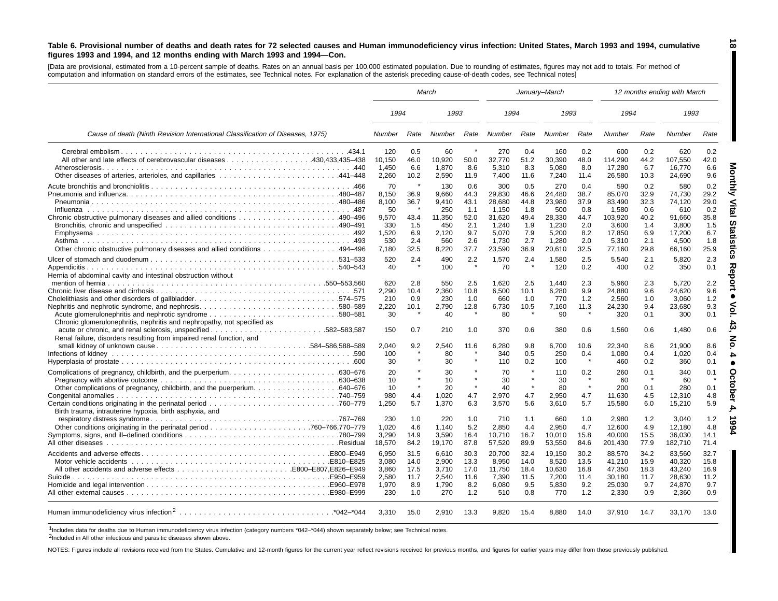#### Table 6. Provisional number of deaths and death rates for 72 selected causes and Human immunodeficiency virus infection: United States, March 1993 and 1994, cumulative figures 1993 and 1994, and 12 months ending with March 1993 and 1994-Con.

[Data are provisional, estimated from a 10-percent sample of deaths. Rates on an annual basis per 100,000 estimated population. Due to rounding of estimates, figures may not add to totals. For method of computation and information on standard errors of the estimates, see Technical notes. For explanation of the asterisk preceding cause-of-death codes, see Technical notes]

|                                                                                                                                                                                                           |                                                                      |                                                   | March                                                                  |                                                                 |                                                                                 |                                                                 | January-March                                                                 |                                                                 | 12 months ending with March                                                       |                                                                 |                                                                                |                                                                 |
|-----------------------------------------------------------------------------------------------------------------------------------------------------------------------------------------------------------|----------------------------------------------------------------------|---------------------------------------------------|------------------------------------------------------------------------|-----------------------------------------------------------------|---------------------------------------------------------------------------------|-----------------------------------------------------------------|-------------------------------------------------------------------------------|-----------------------------------------------------------------|-----------------------------------------------------------------------------------|-----------------------------------------------------------------|--------------------------------------------------------------------------------|-----------------------------------------------------------------|
|                                                                                                                                                                                                           | 1994                                                                 |                                                   | 1993                                                                   |                                                                 | 1994                                                                            |                                                                 | 1993                                                                          |                                                                 | 1994                                                                              |                                                                 | 1993                                                                           |                                                                 |
| Cause of death (Ninth Revision International Classification of Diseases, 1975)                                                                                                                            | Number                                                               | Rate                                              | Number                                                                 | Rate                                                            | Number                                                                          | Rate                                                            | Number                                                                        | Rate                                                            | Number                                                                            | Rate                                                            | Number                                                                         | Rate                                                            |
|                                                                                                                                                                                                           | 120<br>10,150<br>1,450<br>2,260                                      | 0.5<br>46.0<br>6.6<br>10.2                        | 60<br>10,920<br>1,870<br>2.590                                         | 50.0<br>8.6<br>11.9                                             | 270<br>32,770<br>5,310<br>7,400                                                 | 0.4<br>51.2<br>8.3<br>11.6                                      | 160<br>30,390<br>5,080<br>7,240                                               | 0.2<br>48.0<br>8.0<br>11.4                                      | 600<br>114,290<br>17,280<br>26,580                                                | 0.2<br>44.2<br>6.7<br>10.3                                      | 620<br>107,550<br>16,770<br>24.690                                             | 0.2<br>42.0<br>6.6<br>9.6                                       |
| Other chronic obstructive pulmonary diseases and allied conditions 494–496                                                                                                                                | -70<br>8,150<br>8.100<br>50<br>9,570<br>330<br>1,520<br>530<br>7,180 | 36.9<br>36.7<br>43.4<br>1.5<br>6.9<br>2.4<br>32.5 | 130<br>9,660<br>9.410<br>250<br>11,350<br>450<br>2.120<br>560<br>8,220 | 0.6<br>44.3<br>43.1<br>1.1<br>52.0<br>2.1<br>9.7<br>2.6<br>37.7 | 300<br>29,830<br>28.680<br>1,150<br>31,620<br>1,240<br>5,070<br>1,730<br>23,590 | 0.5<br>46.6<br>44.8<br>1.8<br>49.4<br>1.9<br>7.9<br>2.7<br>36.9 | 270<br>24,480<br>23,980<br>500<br>28,330<br>1,230<br>5,200<br>1,280<br>20,610 | 0.4<br>38.7<br>37.9<br>0.8<br>44.7<br>2.0<br>8.2<br>2.0<br>32.5 | 590<br>85,070<br>83.490<br>1,580<br>103,920<br>3,600<br>17,850<br>5,310<br>77,160 | 0.2<br>32.9<br>32.3<br>0.6<br>40.2<br>1.4<br>6.9<br>2.1<br>29.8 | 580<br>74,730<br>74.120<br>610<br>91,660<br>3,800<br>17.200<br>4,500<br>66,160 | 0.2<br>29.2<br>29.0<br>0.2<br>35.8<br>1.5<br>6.7<br>1.8<br>25.9 |
| Appendicitis<br>Hernia of abdominal cavity and intestinal obstruction without                                                                                                                             | 520<br>40<br>620<br>2,290<br>210                                     | 2.4<br>2.8<br>10.4<br>0.9                         | 490<br>100<br>550<br>2,360<br>230                                      | 2.2<br>$\star$<br>2.5<br>10.8<br>1.0                            | 1.570<br>70<br>1.620<br>6,500<br>660                                            | 2.4<br>$\rightarrow$<br>2.5<br>10.1<br>1.0                      | 1.580<br>120<br>1.440<br>6,280<br>770                                         | 2.5<br>0.2<br>2.3<br>9.9<br>1.2                                 | 5.540<br>400<br>5.960<br>24,880<br>2,560                                          | 2.1<br>0.2<br>2.3<br>9.6<br>1.0                                 | 5.820<br>350<br>5.720<br>24,620<br>3.060                                       | 2.3<br>0.1<br>2.2<br>9.6<br>1.2<br>9.3                          |
| Nephritis and nephrotic syndrome, and nephrosis580–589<br>Chronic glomerulonephritis, nephritis and nephropathy, not specified as<br>Renal failure, disorders resulting from impaired renal function, and | 2,220<br>30<br>150<br>2.040<br>100<br>30                             | 10.1<br>0.7<br>9.2<br>$\star$                     | 2,790<br>40<br>210<br>2.540<br>80<br>30                                | 12.8<br>1.0<br>11.6<br>$\star$                                  | 6,730<br>80<br>370<br>6.280<br>340<br>110                                       | 10.5<br>- *<br>0.6<br>9.8<br>0.5<br>0.2                         | 7,160<br>90<br>380<br>6.700<br>250<br>100                                     | 11.3<br>0.6<br>10.6<br>0.4<br>$\star$                           | 24,230<br>320<br>1,560<br>22.340<br>1,080<br>460                                  | 9.4<br>0.1<br>0.6<br>8.6<br>0.4<br>0.2                          | 23,680<br>300<br>1,480<br>21.900<br>1,020<br>360                               | 0.1<br>0.6<br>8.6<br>0.4<br>0.1                                 |
|                                                                                                                                                                                                           | 20<br>10<br>10<br>980<br>1.250                                       | $\star$<br>4.4<br>5.7                             | 30<br>10<br>20<br>1,020<br>1.370                                       | $\star$<br>4.7<br>6.3                                           | 70<br>30<br>40<br>2,970<br>3.570                                                | $\star$<br>$\star$<br>4.7<br>5.6                                | 110<br>30<br>80<br>2,950<br>3.610                                             | 0.2<br>$\star$<br>$\star$<br>4.7<br>5.7                         | 260<br>60<br>200<br>11,630<br>15.580                                              | 0.1<br>-4<br>0.1<br>4.5<br>6.0                                  | 340<br>60<br>280<br>12,310<br>15,210                                           | 0.1<br>0.1<br>4.8<br>5.9                                        |
| Birth trauma, intrauterine hypoxia, birth asphyxia, and                                                                                                                                                   | 230<br>1,020<br>3.290<br>18,570                                      | 1.0<br>4.6<br>14.9<br>84.2                        | 220<br>1,140<br>3.590<br>19,170                                        | 1.0<br>5.2<br>16.4<br>87.8                                      | 710<br>2.850<br>10.710<br>57,520                                                | 1.1<br>4.4<br>16.7<br>89.9                                      | 660<br>2,950<br>10.010<br>53,550                                              | 1.0<br>4.7<br>15.8<br>84.6                                      | 2,980<br>12,600<br>40.000<br>201,430                                              | 1.2<br>4.9<br>15.5<br>77.9                                      | 3.040<br>12,180<br>36.030<br>182,710                                           | 1.2<br>4.8<br>14.1<br>71.4                                      |
| Suicide                                                                                                                                                                                                   | 6,950<br>3.080<br>3.860<br>2,580<br>1,970<br>230                     | 31.5<br>14.0<br>17.5<br>11.7<br>8.9<br>1.0        | 6,610<br>2.900<br>3.710<br>2,540<br>1,790<br>270                       | 30.3<br>13.3<br>17.0<br>11.6<br>8.2<br>1.2                      | 20,700<br>8.950<br>11.750<br>7,390<br>6,080<br>510                              | 32.4<br>14.0<br>18.4<br>11.5<br>9.5<br>0.8                      | 19,150<br>8,520<br>10.630<br>7,200<br>5,830<br>770                            | 30.2<br>13.5<br>16.8<br>11.4<br>9.2<br>1.2                      | 88,570<br>41,210<br>47.350<br>30,180<br>25,030<br>2,330                           | 34.2<br>15.9<br>18.3<br>11.7<br>9.7<br>0.9                      | 83,560<br>40.320<br>43.240<br>28,630<br>24,870<br>2,360                        | 32.7<br>15.8<br>16.9<br>11.2<br>9.7<br>0.9                      |
|                                                                                                                                                                                                           | 3,310                                                                | 15.0                                              | 2.910                                                                  | 13.3                                                            | 9,820                                                                           | 15.4                                                            | 8,880                                                                         | 14.0                                                            | 37,910                                                                            | 14.7                                                            | 33,170                                                                         | 13.0                                                            |

1Includes data for deaths due to Human immunodeficiency virus infection (category numbers \*042–\*044) shown separately below; see Technical notes.

2Included in All other infectious and parasitic diseases shown above.

NOTES: Figures include all revisions received from the States. Cumulative and 12-month figures for the current year reflect revisions received for previous months, and figures for earlier years may differ from those previo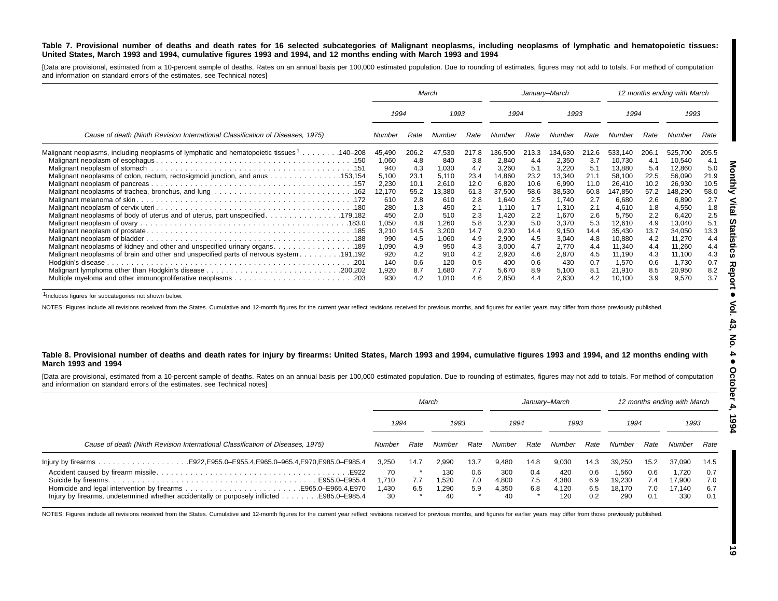#### Table 7. Provisional number of deaths and death rates for 16 selected subcategories of Malignant neoplasms, including neoplasms of lymphatic and hematopoietic tissues: United States, March 1993 and 1994, cumulative figures 1993 and 1994, and 12 months ending with March 1993 and 1994

[Data are provisional, estimated from a 10-percent sample of deaths. Rates on an annual basis per 100,000 estimated population. Due to rounding of estimates, figures may not add to totals. For method of computation and information on standard errors of the estimates, see Technical notes]

|                                                                                                      | March        |            |                | January-March |                |            |                | 12 months ending with March |                  |            |                 |            |
|------------------------------------------------------------------------------------------------------|--------------|------------|----------------|---------------|----------------|------------|----------------|-----------------------------|------------------|------------|-----------------|------------|
|                                                                                                      | 1994<br>1993 |            | 1994           |               | 1993           |            | 1994           |                             | 1993             |            |                 |            |
| Cause of death (Ninth Revision International Classification of Diseases, 1975)                       | Number       | Rate       | Number         | Rate          | Number         | Rate       | Number         | Rate                        | Number           | Rate       | Number          | Rate       |
| Malignant neoplasms, including neoplasms of lymphatic and hematopoietic tissues <sup>1</sup> 140–208 | 45,490       | 206.2      | 47,530         | 217.8         | 36,500         | 213.3      | 134,630        | 212.6                       | 533,140          | 206.1      | 525,700         | 205.5      |
|                                                                                                      | 1,060        | 4.8        | 840            | 3.8           | 2,840          | 4.4        | 2,350          | 3.7                         | 10,730           | 4.1        | 10,540          | 4.1        |
|                                                                                                      | 940          | 4.3        | 1,030          | 4.7           | 3,260          | 5.1        | 3,220          | 5.1                         | 13,880           | 5.4        | 12,860          | 5.0        |
| Malignant neoplasms of colon, rectum, rectosigmoid junction, and anus 153,154                        | 5,100        | 23.1       | 5,110          | 23.4          | 14,860         | 23.2       | 13,340         | 21.7                        | 58,100           | 22.5       | 56,090          | 21.9       |
|                                                                                                      | 2,230        | 10.1       | 2,610          | 12.0          | 6,820          | 10.6       | 6,990          | 11.0                        | 26,410           | 10.2       | 26,930          | 10.5       |
|                                                                                                      | 12,170       | 55.2       | 13,380         | 61.3          | 37,500         | 58.6       | 38,530         | 60.8                        | 147,850          | 57.2       | 148,290         | 58.0       |
|                                                                                                      | 610          | 2.8        | 610            | 2.8           | 1,640          | 2.5        | 1,740          | 2.7                         | 6,680            | 2.6        | 6,890           | 2.7        |
|                                                                                                      | 280          | 1.3        | 450            | 2.1           | 1.110          | 1.7        | 1,310          | 2.1                         | 4,610            | 1.8        | 4,550           | 1.8        |
|                                                                                                      | 450          | 2.0        | 510            | 2.3           | 1.420          | 2.2        | 1,670          | 2.6                         | 5,750            | 2.2        | 6,420           | 2.5        |
|                                                                                                      | 1,050        | 4.8        | 1,260          | 5.8           | 3,230          | 5.0        | 3,370          | 5.3                         | 12,610           | 4.9        | 13,040          | 5.1        |
|                                                                                                      | 3,210        | 14.5       | 3,200          | 14.7          | 9,230          | 14.4       | 9,150          | 14.4                        | 35,430           | 13.7       | 34,050          | 13.3       |
|                                                                                                      | 990          | 4.5        | 1,060          | 4.9           | 2,900          | 4.5        | 3,040          | 4.8                         | 10,880           | 4.2        | 11,270          | 4.4        |
|                                                                                                      | 1,090        | 4.9        | 950            | 4.3           | 3,000          | 4.7        | 2,770          | 4.4                         | 11,340           | 4.4        | 11,260          | 4.4        |
| 191,192. Malignant neoplasms of brain and other and unspecified parts of nervous system 191,192      | 920          | 4.2        | 910            | 4.2           | 2,920          | 4.6        | 2,870          | 4.5                         | 11,190           | 4.3        | 11,100          | 4.3        |
|                                                                                                      | 140          | 0.6        | 120            | 0.5           | 400            | 0.6        | 430            | 0.7                         | 1,570            | 0.6        | 1,730           | 0.7        |
|                                                                                                      | 1,920<br>930 | 8.7<br>4.2 | 1,680<br>1,010 | 7.7<br>4.6    | 5,670<br>2,850 | 8.9<br>4.4 | 5,100<br>2,630 | 8.1<br>4.2                  | 21,910<br>10,100 | 8.5<br>3.9 | 20,950<br>9,570 | 8.2<br>3.7 |

1Includes figures for subcategories not shown below.

NOTES: Figures include all revisions received from the States. Cumulative and 12-month figures for the current year reflect revisions received for previous months, and figures for earlier years may differ from those previo

#### Table 8. Provisional number of deaths and death rates for injury by firearms: United States, March 1993 and 1994, cumulative figures 1993 and 1994, and 12 months ending with **March 1993 and 1994**

[Data are provisional, estimated from a 10-percent sample of deaths. Rates on an annual basis per 100,000 estimated population. Due to rounding of estimates, figures may not add to totals. For method of computation and information on standard errors of the estimates, see Technical notes]

|                                                                                               | March                       |            |                             | January–March     |                             |                   |                              | 12 months ending with March |                                  |                          |                                  |                          |
|-----------------------------------------------------------------------------------------------|-----------------------------|------------|-----------------------------|-------------------|-----------------------------|-------------------|------------------------------|-----------------------------|----------------------------------|--------------------------|----------------------------------|--------------------------|
|                                                                                               | 1994                        |            | 1993                        |                   | 1994                        |                   | 1993                         |                             | 1994                             |                          | 1993                             |                          |
| Cause of death (Ninth Revision International Classification of Diseases, 1975)                | Number                      | Rate       | Number                      | Rate              | Number                      | Rate              | Number                       | Rate                        | Number                           | Rate                     | Number                           | Rate                     |
|                                                                                               | 3.250                       | 14.7       | 2.990                       | 13.7              | 9.480                       | 14.8              | 9.030                        | 14.3                        | 39.250                           | 15.2                     | 37.090                           | 14.5                     |
| Injury by firearms, undetermined whether accidentally or purposely inflicted<br>E985.0-E985.4 | 70<br>1.710<br>.430 ا<br>30 | 7.7<br>6.5 | 130<br>1.520<br>1.290<br>40 | 0.6<br>7.0<br>5.9 | 300<br>4,800<br>4.350<br>40 | 0.4<br>7.5<br>6.8 | 420<br>4,380<br>4.120<br>120 | 0.6<br>6.9<br>6.5<br>0.2    | 1,560<br>19.230<br>18.170<br>290 | 0.6<br>7.4<br>7.0<br>0.1 | 1.720<br>17.900<br>17.140<br>330 | 0.7<br>7.0<br>6.7<br>0.1 |

NOTES: Figures include all revisions received from the States. Cumulative and 12-month figures for the current year reflect revisions received for previous months, and figures for earlier years may differ from those previo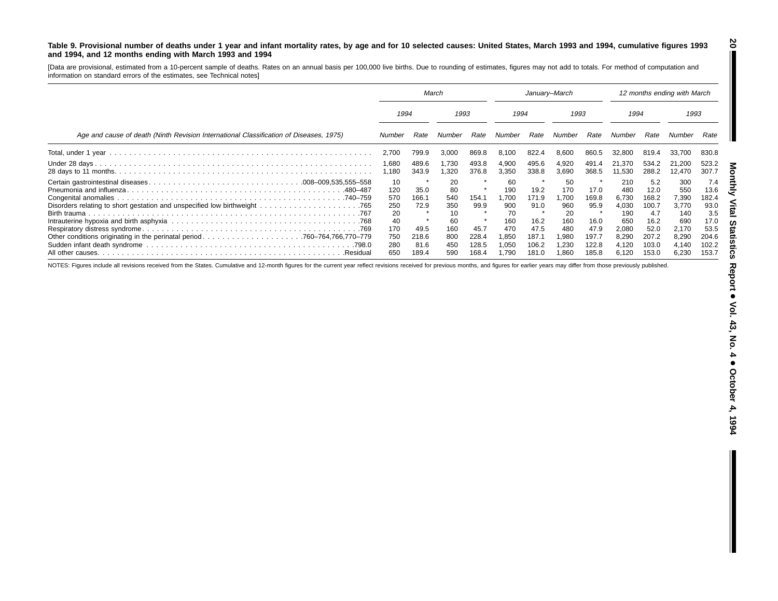#### Table 9. Provisional number of deaths under 1 year and infant mortality rates, by age and for 10 selected causes: United States, March 1993 and 1994, cumulative figures 1993 **and 1994, and 12 months ending with March 1993 and 1994**

[Data are provisional, estimated from <sup>a</sup> 10-percent sample of deaths. Rates on an annual basis per 100,000 live births. Due to rounding of estimates, figures may not add to totals. For method of computation and information on standard errors of the estimates, see Technical notes]

|                                                                                        | March                                |                                |                                      | January-March                         |                                             |                                         |                                            | 12 months ending with March             |                                                |                                                |                                                |                                                |
|----------------------------------------------------------------------------------------|--------------------------------------|--------------------------------|--------------------------------------|---------------------------------------|---------------------------------------------|-----------------------------------------|--------------------------------------------|-----------------------------------------|------------------------------------------------|------------------------------------------------|------------------------------------------------|------------------------------------------------|
|                                                                                        | 1994                                 |                                | 1993                                 |                                       | 1994                                        |                                         | 1993                                       |                                         | 1994                                           |                                                | 1993                                           |                                                |
| Age and cause of death (Ninth Revision International Classification of Diseases, 1975) | Number                               | Rate                           | Number                               | Rate                                  | Number                                      | Rate                                    | Number                                     | Rate                                    | Number                                         | Rate                                           | Number                                         | Rate                                           |
|                                                                                        | 2,700                                | 799.9                          | 3,000                                | 869.8                                 | 8.100                                       | 822.4                                   | 8,600                                      | 860.5                                   | 32,800                                         | 819.4                                          | 33,700                                         | 830.8                                          |
|                                                                                        | 1,680<br>1,180                       | 489.6<br>343.9                 | 1,730<br>.320                        | 493.8<br>376.8                        | 4,900<br>3,350                              | 495.6<br>338.8                          | 4,920<br>3,690                             | 491.4<br>368.5                          | 21.370<br>11,530                               | 534.2<br>288.2                                 | 21,200<br>12,470                               | 523.2<br>307.7                                 |
|                                                                                        | 10<br>120<br>570<br>250              | 35.0<br>166.1<br>72.9          | 20<br>80<br>540<br>350               | 154.1<br>99.9                         | 60<br>190<br>1.700<br>900                   | 19.2<br>171.9<br>91.0                   | 50<br>170<br>.700<br>960                   | 17.0<br>169.8<br>95.9                   | 210<br>480<br>6,730<br>4,030                   | 5.2<br>12.0<br>168.2<br>100.7                  | 300<br>550<br>7,390<br>3,770                   | 7.4<br>13.6<br>182.4<br>93.0                   |
| .Residual                                                                              | 20<br>40<br>170<br>750<br>280<br>650 | 49.5<br>218.6<br>81.6<br>189.4 | 10<br>60<br>160<br>800<br>450<br>590 | -8<br>45.7<br>228.4<br>128.5<br>168.4 | 70<br>160<br>470<br>1,850<br>1,050<br>1.790 | 16.2<br>47.5<br>187.1<br>106.2<br>181.0 | 20<br>160<br>480<br>980. ا<br>.230<br>.860 | 16.0<br>47.9<br>197.7<br>122.8<br>185.8 | 190<br>650<br>2,080<br>8,290<br>4,120<br>6.120 | 4.7<br>16.2<br>52.0<br>207.2<br>103.0<br>153.0 | 140<br>690<br>2,170<br>8,290<br>4,140<br>6,230 | 3.5<br>17.0<br>53.5<br>204.6<br>102.2<br>153.7 |

NOTES: Figures include all revisions received from the States. Cumulative and 12-month figures for the current year reflect revisions received for previous months, and figures for earlier years may differ from those previo

**20**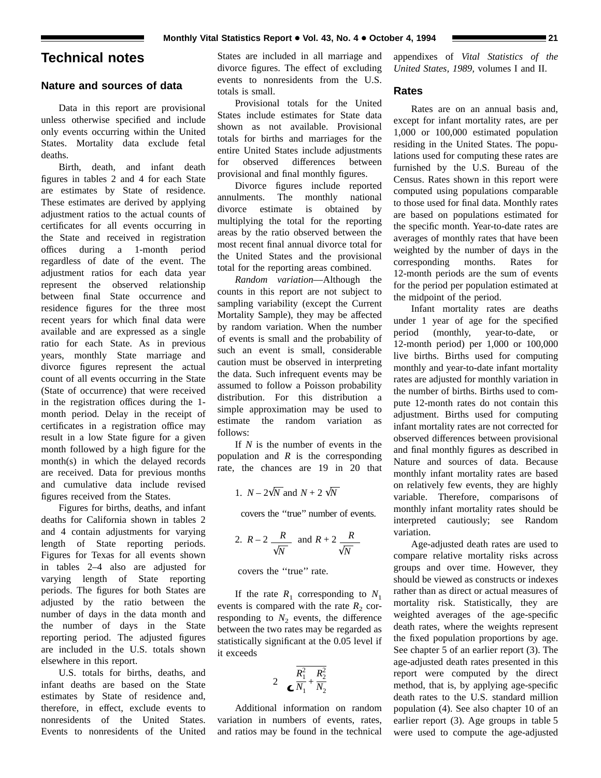# **Technical notes**

# **Nature and sources of data**

Data in this report are provisional unless otherwise specified and include only events occurring within the United States. Mortality data exclude fetal deaths.

Birth, death, and infant death figures in tables 2 and 4 for each State are estimates by State of residence. These estimates are derived by applying adjustment ratios to the actual counts of certificates for all events occurring in the State and received in registration offices during a 1-month period regardless of date of the event. The adjustment ratios for each data year represent the observed relationship between final State occurrence and residence figures for the three most recent years for which final data were available and are expressed as a single ratio for each State. As in previous years, monthly State marriage and divorce figures represent the actual count of all events occurring in the State (State of occurrence) that were received in the registration offices during the 1 month period. Delay in the receipt of certificates in a registration office may result in a low State figure for a given month followed by a high figure for the month(s) in which the delayed records are received. Data for previous months and cumulative data include revised figures received from the States.

Figures for births, deaths, and infant deaths for California shown in tables 2 and 4 contain adjustments for varying length of State reporting periods. Figures for Texas for all events shown in tables 2–4 also are adjusted for varying length of State reporting periods. The figures for both States are adjusted by the ratio between the number of days in the data month and the number of days in the State reporting period. The adjusted figures are included in the U.S. totals shown elsewhere in this report.

U.S. totals for births, deaths, and infant deaths are based on the State estimates by State of residence and, therefore, in effect, exclude events to nonresidents of the United States. Events to nonresidents of the United

States are included in all marriage and divorce figures. The effect of excluding events to nonresidents from the U.S. totals is small.

Provisional totals for the United States include estimates for State data shown as not available. Provisional totals for births and marriages for the entire United States include adjustments for observed differences between provisional and final monthly figures.

Divorce figures include reported annulments. The monthly national divorce estimate is obtained by multiplying the total for the reporting areas by the ratio observed between the most recent final annual divorce total for the United States and the provisional total for the reporting areas combined.

*Random variation*—Although the counts in this report are not subject to sampling variability (except the Current Mortality Sample), they may be affected by random variation. When the number of events is small and the probability of such an event is small, considerable caution must be observed in interpreting the data. Such infrequent events may be assumed to follow a Poisson probability distribution. For this distribution a simple approximation may be used to estimate the random variation as follows:

If *N* is the number of events in the population and *R* is the corresponding rate, the chances are 19 in 20 that

1. 
$$
N - 2\sqrt{N}
$$
 and  $N + 2\sqrt{N}$ 

covers the ''true'' number of events.

2. 
$$
R-2
$$
  $\frac{R}{\sqrt{N}}$  and  $R+2$   $\frac{R}{\sqrt{N}}$ 

covers the ''true'' rate.

If the rate  $R_1$  corresponding to  $N_1$ events is compared with the rate  $R_2$  corresponding to  $N_2$  events, the difference between the two rates may be regarded as statistically significant at the 0.05 level if it exceeds

$$
2 \quad \overline{\mathbf{R}_1^2 + \frac{\mathbf{R}_2^2}{N_1} + \frac{\mathbf{R}_2^2}{N_2}}
$$

Additional information on random variation in numbers of events, rates, and ratios may be found in the technical appendixes of *Vital Statistics of the United States, 1989,* volumes I and II.

# **Rates**

Rates are on an annual basis and, except for infant mortality rates, are per 1,000 or 100,000 estimated population residing in the United States. The populations used for computing these rates are furnished by the U.S. Bureau of the Census. Rates shown in this report were computed using populations comparable to those used for final data. Monthly rates are based on populations estimated for the specific month. Year-to-date rates are averages of monthly rates that have been weighted by the number of days in the corresponding months. Rates for 12-month periods are the sum of events for the period per population estimated at the midpoint of the period.

Infant mortality rates are deaths under 1 year of age for the specified period (monthly, year-to-date, or 12-month period) per 1,000 or 100,000 live births. Births used for computing monthly and year-to-date infant mortality rates are adjusted for monthly variation in the number of births. Births used to compute 12-month rates do not contain this adjustment. Births used for computing infant mortality rates are not corrected for observed differences between provisional and final monthly figures as described in Nature and sources of data. Because monthly infant mortality rates are based on relatively few events, they are highly variable. Therefore, comparisons of monthly infant mortality rates should be interpreted cautiously; see Random variation.

Age-adjusted death rates are used to compare relative mortality risks across groups and over time. However, they should be viewed as constructs or indexes rather than as direct or actual measures of mortality risk. Statistically, they are weighted averages of the age-specific death rates, where the weights represent the fixed population proportions by age. See chapter 5 of an earlier report (3). The age-adjusted death rates presented in this report were computed by the direct method, that is, by applying age-specific death rates to the U.S. standard million population (4). See also chapter 10 of an earlier report (3). Age groups in table 5 were used to compute the age-adjusted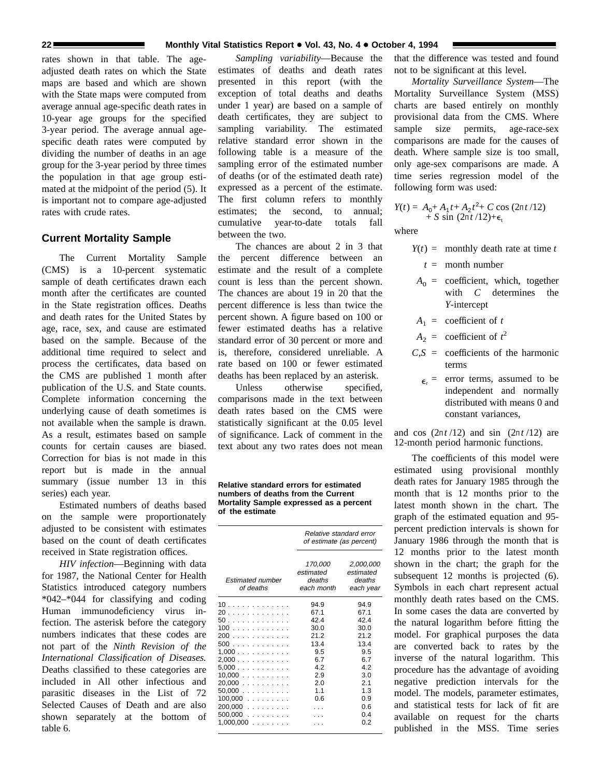rates shown in that table. The ageadjusted death rates on which the State maps are based and which are shown with the State maps were computed from average annual age-specific death rates in 10-year age groups for the specified 3-year period. The average annual agespecific death rates were computed by dividing the number of deaths in an age group for the 3-year period by three times the population in that age group estimated at the midpoint of the period (5). It is important not to compare age-adjusted rates with crude rates.

# **Current Mortality Sample**

The Current Mortality Sample (CMS) is a 10-percent systematic sample of death certificates drawn each month after the certificates are counted in the State registration offices. Deaths and death rates for the United States by age, race, sex, and cause are estimated based on the sample. Because of the additional time required to select and process the certificates, data based on the CMS are published 1 month after publication of the U.S. and State counts. Complete information concerning the underlying cause of death sometimes is not available when the sample is drawn. As a result, estimates based on sample counts for certain causes are biased. Correction for bias is not made in this report but is made in the annual summary (issue number 13 in this series) each year.

Estimated numbers of deaths based on the sample were proportionately adjusted to be consistent with estimates based on the count of death certificates received in State registration offices.

*HIV infection*—Beginning with data for 1987, the National Center for Health Statistics introduced category numbers \*042–\*044 for classifying and coding Human immunodeficiency virus infection. The asterisk before the category numbers indicates that these codes are not part of the *Ninth Revision of the International Classification of Diseases.* Deaths classified to these categories are included in All other infectious and parasitic diseases in the List of 72 Selected Causes of Death and are also shown separately at the bottom of table 6.

*Sampling variability*—Because the estimates of deaths and death rates presented in this report (with the exception of total deaths and deaths under 1 year) are based on a sample of death certificates, they are subject to sampling variability. The estimated relative standard error shown in the following table is a measure of the sampling error of the estimated number of deaths (or of the estimated death rate) expressed as a percent of the estimate. The first column refers to monthly estimates; the second, to annual; cumulative year-to-date totals fall between the two.

The chances are about 2 in 3 that the percent difference between an estimate and the result of a complete count is less than the percent shown. The chances are about 19 in 20 that the percent difference is less than twice the percent shown. A figure based on 100 or fewer estimated deaths has a relative standard error of 30 percent or more and is, therefore, considered unreliable. A rate based on 100 or fewer estimated deaths has been replaced by an asterisk.

Unless otherwise specified. comparisons made in the text between death rates based on the CMS were statistically significant at the 0.05 level of significance. Lack of comment in the text about any two rates does not mean

**Relative standard errors for estimated numbers of deaths from the Current Mortality Sample expressed as a percent of the estimate**

|                               | Relative standard error<br>of estimate (as percent) |                                               |  |  |
|-------------------------------|-----------------------------------------------------|-----------------------------------------------|--|--|
| Estimated number<br>of deaths | 170,000<br>estimated<br>deaths<br>each month        | 2,000,000<br>estimated<br>deaths<br>each year |  |  |
| 10                            | 94.9                                                | 94.9                                          |  |  |
| 20                            | 67.1                                                | 67.1                                          |  |  |
| 50                            | 42.4                                                | 424                                           |  |  |
| 100                           | 30.0                                                | 30.0                                          |  |  |
| 200                           | 21.2                                                | 21.2                                          |  |  |
| 500                           | 13.4                                                | 13.4                                          |  |  |
| 1,000                         | 9.5                                                 | 9.5                                           |  |  |
| 2,000                         | 6.7                                                 | 6.7                                           |  |  |
| $5,000$                       | 4.2                                                 | 4.2                                           |  |  |
| 10,000                        | 2.9                                                 | 3.0                                           |  |  |
| 20,000                        | 2.0                                                 | 2.1                                           |  |  |
| $50,000$                      | 1.1                                                 | 1.3                                           |  |  |
| $100,000$                     | 0.6                                                 | 0.9                                           |  |  |
| 200.000                       |                                                     | 0.6                                           |  |  |
| $500,000$                     |                                                     | 0.4                                           |  |  |
| $1,000,000$                   |                                                     | 0.2                                           |  |  |

that the difference was tested and found not to be significant at this level.

*Mortality Surveillance System*—The Mortality Surveillance System (MSS) charts are based entirely on monthly provisional data from the CMS. Where sample size permits, age-race-sex comparisons are made for the causes of death. Where sample size is too small, only age-sex comparisons are made. A time series regression model of the following form was used:

$$
Y(t) = A_0 + A_1 t + A_2 t^2 + C \cos (2\pi t / 12) + S \sin (2\pi t / 12) + \epsilon_t
$$

where

- $Y(t) =$  monthly death rate at time *t* 
	- *t* = month number
- $A_0$  = coefficient, which, together with *C* determines the *Y*-intercept
- $A_1$  = coefficient of *t*
- $A_2$  = coefficient of  $t^2$
- $C.S =$  coefficients of the harmonic terms
	- $\epsilon$  = error terms, assumed to be independent and normally distributed with means 0 and constant variances,

and cos  $(2\pi t/12)$  and sin  $(2\pi t/12)$  are 12-month period harmonic functions.

The coefficients of this model were estimated using provisional monthly death rates for January 1985 through the month that is 12 months prior to the latest month shown in the chart. The graph of the estimated equation and 95 percent prediction intervals is shown for January 1986 through the month that is 12 months prior to the latest month shown in the chart; the graph for the subsequent 12 months is projected  $(6)$ . Symbols in each chart represent actual monthly death rates based on the CMS. In some cases the data are converted by the natural logarithm before fitting the model. For graphical purposes the data are converted back to rates by the inverse of the natural logarithm. This procedure has the advantage of avoiding negative prediction intervals for the model. The models, parameter estimates, and statistical tests for lack of fit are available on request for the charts published in the MSS. Time series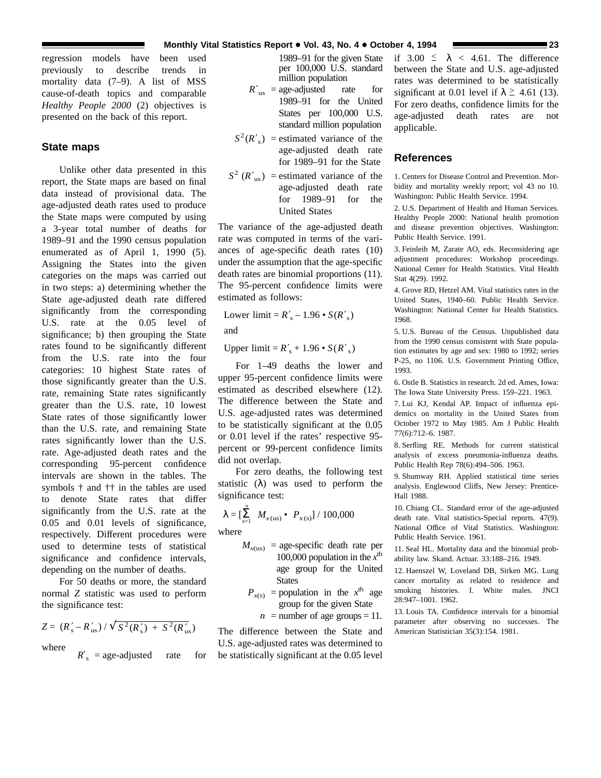regression models have been used previously to describe trends in mortality data (7–9). A list of MSS cause-of-death topics and comparable *Healthy People 2000* (2) objectives is presented on the back of this report.

# **State maps**

Unlike other data presented in this report, the State maps are based on final data instead of provisional data. The age-adjusted death rates used to produce the State maps were computed by using a 3-year total number of deaths for 1989–91 and the 1990 census population enumerated as of April 1, 1990 (5). Assigning the States into the given categories on the maps was carried out in two steps: a) determining whether the State age-adjusted death rate differed significantly from the corresponding U.S. rate at the 0.05 level of significance; b) then grouping the State rates found to be significantly different from the U.S. rate into the four categories: 10 highest State rates of those significantly greater than the U.S. rate, remaining State rates significantly greater than the U.S. rate, 10 lowest State rates of those significantly lower than the U.S. rate, and remaining State rates significantly lower than the U.S. rate. Age-adjusted death rates and the corresponding 95-percent confidence intervals are shown in the tables. The symbols † and †† in the tables are used to denote State rates that differ significantly from the U.S. rate at the 0.05 and 0.01 levels of significance, respectively. Different procedures were used to determine tests of statistical significance and confidence intervals, depending on the number of deaths.

For 50 deaths or more, the standard normal *Z* statistic was used to perform the significance test:

$$
Z = (R'_s - R'_{us}) / \sqrt{S^2(R'_s) + S^2(R'_{us})}
$$

where

 $R'$ <sub>s</sub> = age-adjusted rate for

1989–91 for the given State per 100,000 U.S. standard million population

- $R'_{\text{us}}$  = age-adjusted rate for 1989–91 for the United States per 100,000 U.S. standard million population
- $S^2(R'_s)$  = estimated variance of the age-adjusted death rate for 1989–91 for the State
- $S^2$  ( $R'_{\text{us}}$ ) = estimated variance of the age-adjusted death rate for 1989–91 for the United States

The variance of the age-adjusted death rate was computed in terms of the variances of age-specific death rates (10) under the assumption that the age-specific death rates are binomial proportions (11). The 95-percent confidence limits were estimated as follows:

Lower limit =  $R'_s - 1.96 \cdot S(R'_s)$ 

and

Upper  $\text{limit} = R'_{\text{s}} + 1.96 \cdot S(R'_{\text{s}})$ 

For 1–49 deaths the lower and upper 95-percent confidence limits were estimated as described elsewhere (12). The difference between the State and U.S. age-adjusted rates was determined to be statistically significant at the 0.05 or 0.01 level if the rates' respective 95 percent or 99-percent confidence limits did not overlap.

For zero deaths, the following test statistic  $(\lambda)$  was used to perform the significance test:

$$
\lambda = \left[\sum_{x=1}^{n} M_{x(\text{us})} \bullet P_{x(\text{s})}\right] / 100,000
$$

where

- $M_{x(us)}$  = age-specific death rate per 100,000 population in the  $x^{\text{th}}$ age group for the United **States** 
	- $P_{x(s)}$  = population in the  $x^{\text{th}}$  age group for the given State
		- $n =$  number of age groups = 11.

The difference between the State and U.S. age-adjusted rates was determined to be statistically significant at the 0.05 level if  $3.00 \le \lambda < 4.61$ . The difference between the State and U.S. age-adjusted rates was determined to be statistically significant at 0.01 level if  $\lambda \geq 4.61$  (13). For zero deaths, confidence limits for the age-adjusted death rates are not applicable.

# **References**

1. Centers for Disease Control and Prevention. Morbidity and mortality weekly report; vol 43 no 10. Washington: Public Health Service. 1994.

2. U.S. Department of Health and Human Services. Healthy People 2000: National health promotion and disease prevention objectives. Washington: Public Health Service. 1991.

3. Feinleib M, Zarate AO, eds. Reconsidering age adjustment procedures: Workshop proceedings. National Center for Health Statistics. Vital Health Stat 4(29). 1992.

4. Grove RD, Hetzel AM. Vital statistics rates in the United States, 1940–60. Public Health Service. Washington: National Center for Health Statistics. 1968.

5. U.S. Bureau of the Census. Unpublished data from the 1990 census consistent with State population estimates by age and sex: 1980 to 1992; series P-25, no 1106. U.S. Government Printing Office, 1993.

6. Ostle B. Statistics in research. 2d ed. Ames, Iowa: The Iowa State University Press. 159–221. 1963.

7. Lui KJ, Kendal AP. Impact of influenza epidemics on mortality in the United States from October 1972 to May 1985. Am J Public Health 77(6):712–6. 1987.

8. Serfling RE. Methods for current statistical analysis of excess pneumonia-influenza deaths. Public Health Rep 78(6):494–506. 1963.

9. Shumway RH. Applied statistical time series analysis. Englewood Cliffs, New Jersey: Prentice-Hall 1988.

10. Chiang CL. Standard error of the age-adjusted death rate. Vital statistics-Special reports. 47(9). National Office of Vital Statistics. Washington: Public Health Service. 1961.

11. Seal HL. Mortality data and the binomial probability law. Skand. Actuar. 33:188–216. 1949.

12. Haenszel W, Loveland DB, Sirken MG. Lung cancer mortality as related to residence and smoking histories. I. White males. JNCI 28:947–1001. 1962.

13. Louis TA. Confidence intervals for a binomial parameter after observing no successes. The American Statistician 35(3):154. 1981.